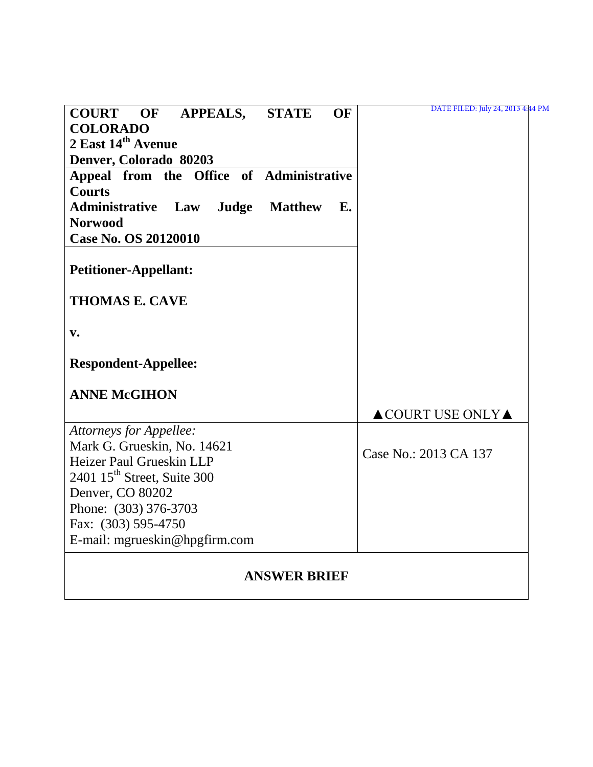| <b>COURT OF</b><br><b>APPEALS,</b>       | <b>STATE</b>        | <b>OF</b>     | DATE FILED: July 24, 2013 4:44 PM      |
|------------------------------------------|---------------------|---------------|----------------------------------------|
| <b>COLORADO</b>                          |                     |               |                                        |
| 2 East 14th Avenue                       |                     |               |                                        |
| Denver, Colorado 80203                   |                     |               |                                        |
| Appeal from the Office of Administrative |                     |               |                                        |
| <b>Courts</b>                            |                     |               |                                        |
| <b>Administrative</b><br>Judge<br>Law    | <b>Matthew</b>      | $E_{\bullet}$ |                                        |
| <b>Norwood</b>                           |                     |               |                                        |
| <b>Case No. OS 20120010</b>              |                     |               |                                        |
|                                          |                     |               |                                        |
| <b>Petitioner-Appellant:</b>             |                     |               |                                        |
| <b>THOMAS E. CAVE</b>                    |                     |               |                                        |
| $\mathbf{v}$ .                           |                     |               |                                        |
|                                          |                     |               |                                        |
| <b>Respondent-Appellee:</b>              |                     |               |                                        |
| <b>ANNE McGIHON</b>                      |                     |               |                                        |
|                                          |                     |               | $\triangle$ COURT USE ONLY $\triangle$ |
| <b>Attorneys for Appellee:</b>           |                     |               |                                        |
| Mark G. Grueskin, No. 14621              |                     |               | Case No.: 2013 CA 137                  |
| Heizer Paul Grueskin LLP                 |                     |               |                                        |
| 2401 15 <sup>th</sup> Street, Suite 300  |                     |               |                                        |
| Denver, CO 80202                         |                     |               |                                        |
| Phone: (303) 376-3703                    |                     |               |                                        |
| Fax: (303) 595-4750                      |                     |               |                                        |
| E-mail: mgrueskin@hpgfirm.com            |                     |               |                                        |
|                                          |                     |               |                                        |
|                                          | <b>ANSWER BRIEF</b> |               |                                        |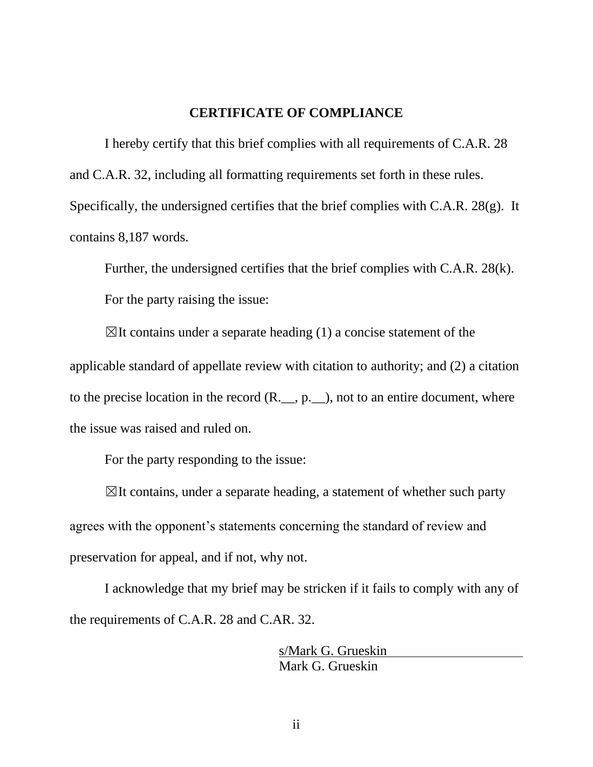### **CERTIFICATE OF COMPLIANCE**

I hereby certify that this brief complies with all requirements of C.A.R. 28 and C.A.R. 32, including all formatting requirements set forth in these rules. Specifically, the undersigned certifies that the brief complies with C.A.R. 28(g). It contains 8,187 words.

Further, the undersigned certifies that the brief complies with C.A.R. 28(k). For the party raising the issue:

 $\boxtimes$ It contains under a separate heading (1) a concise statement of the applicable standard of appellate review with citation to authority; and (2) a citation to the precise location in the record  $(R_{\ldots}, p_{\ldots})$ , not to an entire document, where the issue was raised and ruled on.

For the party responding to the issue:

 $\boxtimes$ It contains, under a separate heading, a statement of whether such party agrees with the opponent's statements concerning the standard of review and preservation for appeal, and if not, why not.

I acknowledge that my brief may be stricken if it fails to comply with any of the requirements of C.A.R. 28 and C.AR. 32.

> s/Mark G. Grueskin Mark G. Grueskin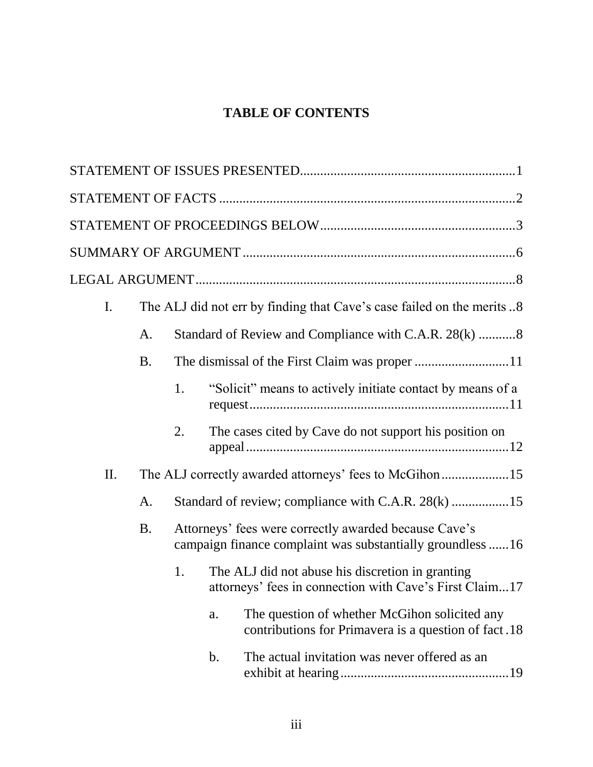# **TABLE OF CONTENTS**

| I.        |           |               | The ALJ did not err by finding that Cave's case failed on the merits 8                                              |
|-----------|-----------|---------------|---------------------------------------------------------------------------------------------------------------------|
|           | A.        |               | Standard of Review and Compliance with C.A.R. 28(k) 8                                                               |
|           | <b>B.</b> |               |                                                                                                                     |
|           |           | 1.            | "Solicit" means to actively initiate contact by means of a                                                          |
|           |           | 2.            | The cases cited by Cave do not support his position on                                                              |
| II.       |           |               |                                                                                                                     |
|           | A.        |               | Standard of review; compliance with C.A.R. 28(k) 15                                                                 |
| <b>B.</b> |           |               | Attorneys' fees were correctly awarded because Cave's<br>campaign finance complaint was substantially groundless 16 |
|           |           | 1.            | The ALJ did not abuse his discretion in granting<br>attorneys' fees in connection with Cave's First Claim17         |
|           |           | a.            | The question of whether McGihon solicited any<br>contributions for Primavera is a question of fact.18               |
|           |           | $\mathbf b$ . | The actual invitation was never offered as an                                                                       |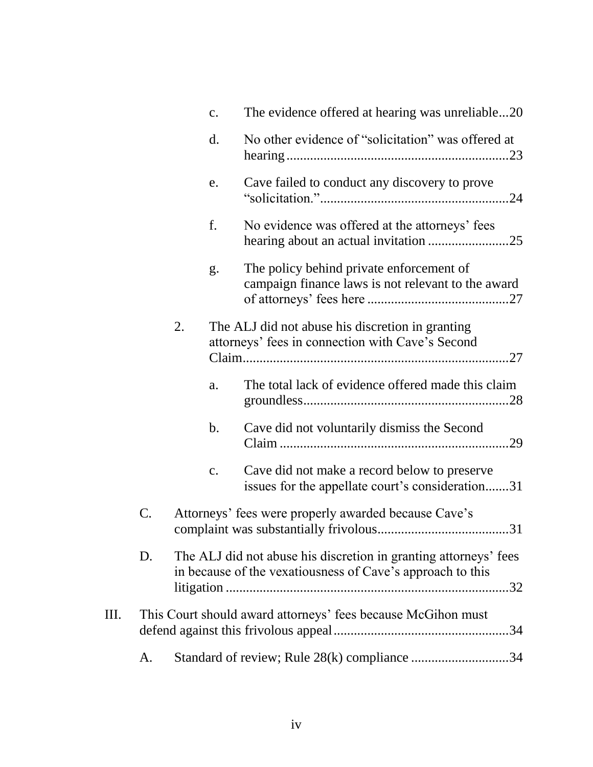|    |               |    | c.            | The evidence offered at hearing was unreliable20                                                                               |
|----|---------------|----|---------------|--------------------------------------------------------------------------------------------------------------------------------|
|    |               |    | d.            | No other evidence of "solicitation" was offered at                                                                             |
|    |               |    | e.            | Cave failed to conduct any discovery to prove                                                                                  |
|    |               |    | f.            | No evidence was offered at the attorneys' fees                                                                                 |
|    |               |    | g.            | The policy behind private enforcement of<br>campaign finance laws is not relevant to the award                                 |
|    |               | 2. |               | The ALJ did not abuse his discretion in granting<br>attorneys' fees in connection with Cave's Second                           |
|    |               |    | a.            | The total lack of evidence offered made this claim                                                                             |
|    |               |    | $\mathbf b$ . | Cave did not voluntarily dismiss the Second                                                                                    |
|    |               |    | c.            | Cave did not make a record below to preserve<br>issues for the appellate court's consideration31                               |
|    | $\mathsf{C}.$ |    |               | Attorneys' fees were properly awarded because Cave's                                                                           |
|    | D.            |    |               | The ALJ did not abuse his discretion in granting attorneys' fees<br>in because of the vexatiousness of Cave's approach to this |
| Ш. |               |    |               | This Court should award attorneys' fees because McGihon must                                                                   |
|    | A.            |    |               | Standard of review; Rule 28(k) compliance 34                                                                                   |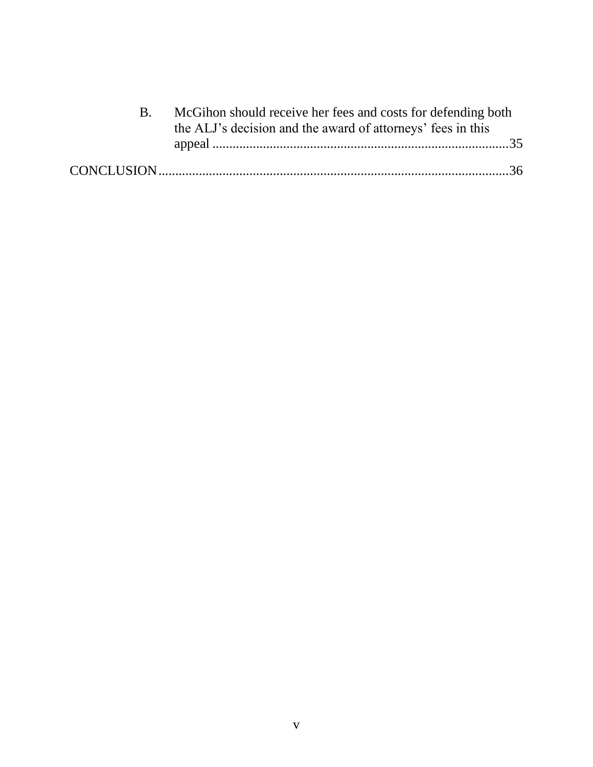| McGihon should receive her fees and costs for defending both<br>the ALJ's decision and the award of attorneys' fees in this |  |
|-----------------------------------------------------------------------------------------------------------------------------|--|
|                                                                                                                             |  |
|                                                                                                                             |  |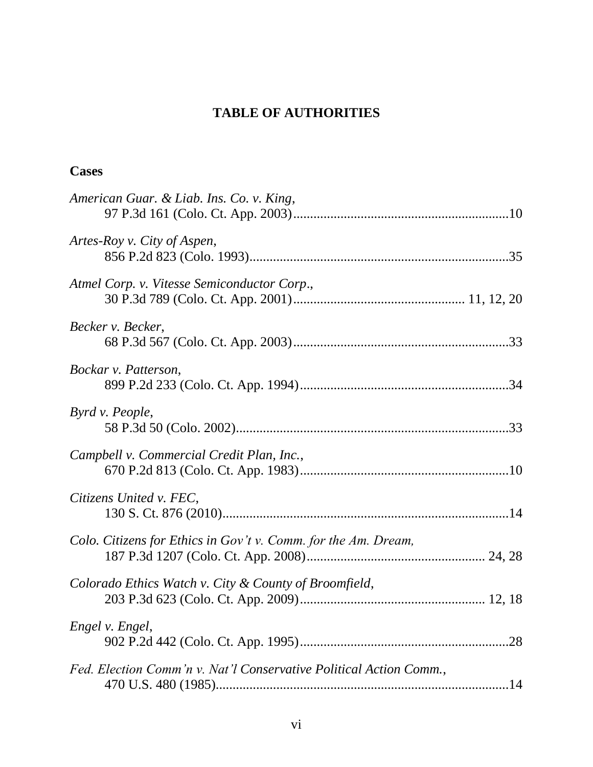# **TABLE OF AUTHORITIES**

# **Cases**

| American Guar. & Liab. Ins. Co. v. King,                           |  |
|--------------------------------------------------------------------|--|
| Artes-Roy v. City of Aspen,                                        |  |
| Atmel Corp. v. Vitesse Semiconductor Corp.,                        |  |
| Becker v. Becker,                                                  |  |
| Bockar v. Patterson,                                               |  |
| Byrd v. People,                                                    |  |
| Campbell v. Commercial Credit Plan, Inc.,                          |  |
| Citizens United v. FEC,                                            |  |
| Colo. Citizens for Ethics in Gov't v. Comm. for the Am. Dream,     |  |
| Colorado Ethics Watch v. City & County of Broomfield,              |  |
| Engel v. Engel,                                                    |  |
| Fed. Election Comm'n v. Nat'l Conservative Political Action Comm., |  |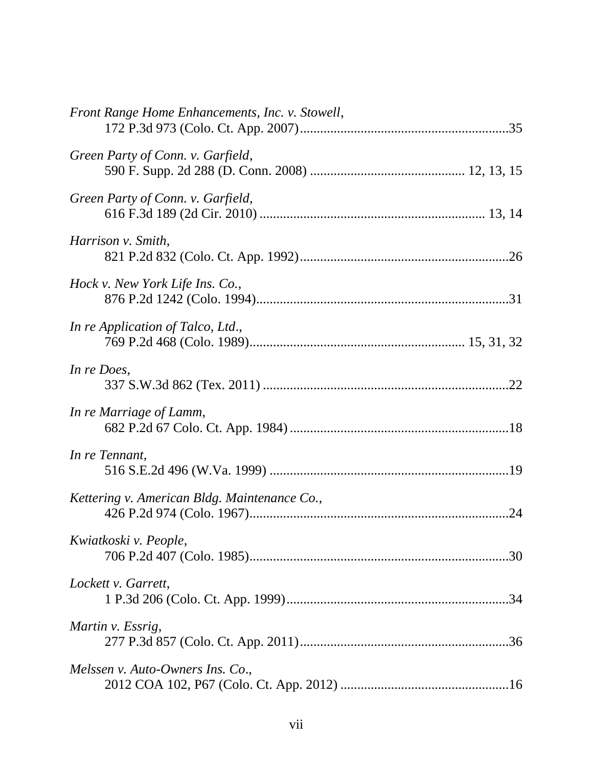| Front Range Home Enhancements, Inc. v. Stowell, |
|-------------------------------------------------|
| Green Party of Conn. v. Garfield,               |
| Green Party of Conn. v. Garfield,               |
| Harrison v. Smith,                              |
| Hock v. New York Life Ins. Co.,                 |
| In re Application of Talco, Ltd.,               |
| In re Does,                                     |
| In re Marriage of Lamm,                         |
| In re Tennant,                                  |
| Kettering v. American Bldg. Maintenance Co.,    |
| Kwiatkoski v. People,                           |
| Lockett v. Garrett,                             |
| Martin v. Essrig,                               |
| Melssen v. Auto-Owners Ins. Co.,                |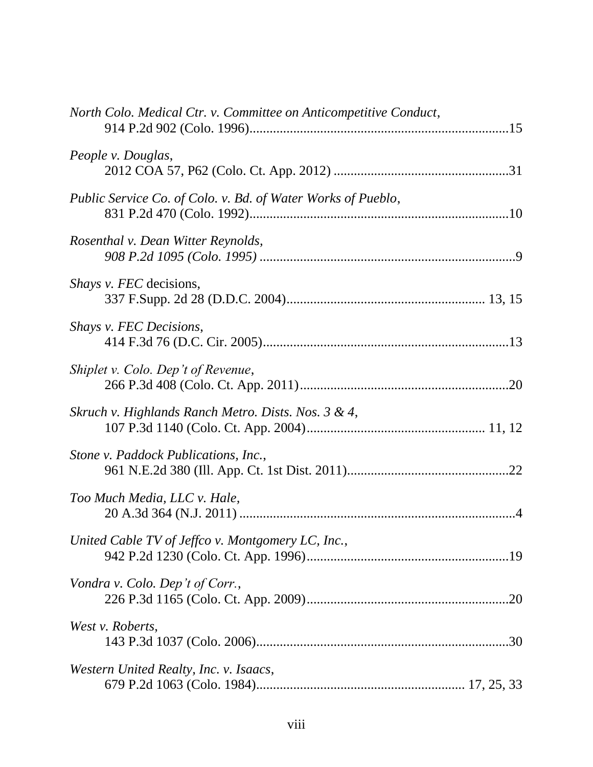| North Colo. Medical Ctr. v. Committee on Anticompetitive Conduct, |  |
|-------------------------------------------------------------------|--|
| People v. Douglas,                                                |  |
| Public Service Co. of Colo. v. Bd. of Water Works of Pueblo,      |  |
| Rosenthal v. Dean Witter Reynolds,                                |  |
| <i>Shays v. FEC</i> decisions,                                    |  |
| Shays v. FEC Decisions,                                           |  |
| Shiplet v. Colo. Dep't of Revenue,                                |  |
| Skruch v. Highlands Ranch Metro. Dists. Nos. 3 & 4,               |  |
| Stone v. Paddock Publications, Inc.,                              |  |
| Too Much Media, LLC v. Hale,                                      |  |
| United Cable TV of Jeffco v. Montgomery LC, Inc.,                 |  |
| Vondra v. Colo. Dep't of Corr.,                                   |  |
| West v. Roberts,                                                  |  |
| Western United Realty, Inc. v. Isaacs,                            |  |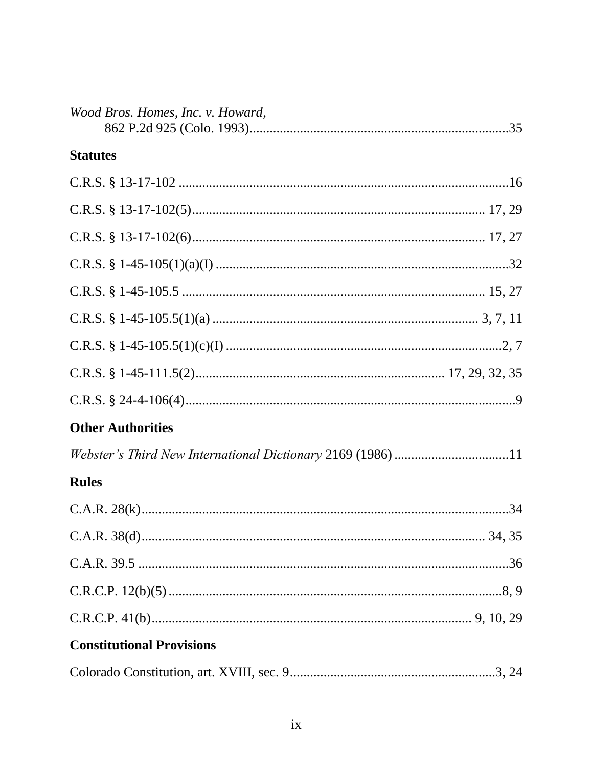| Wood Bros. Homes, Inc. v. Howard,                           |  |
|-------------------------------------------------------------|--|
| <b>Statutes</b>                                             |  |
|                                                             |  |
|                                                             |  |
|                                                             |  |
|                                                             |  |
|                                                             |  |
|                                                             |  |
|                                                             |  |
|                                                             |  |
|                                                             |  |
| <b>Other Authorities</b>                                    |  |
| Webster's Third New International Dictionary 2169 (1986) 11 |  |
| <b>Rules</b>                                                |  |
|                                                             |  |
|                                                             |  |
|                                                             |  |
|                                                             |  |
|                                                             |  |
| <b>Constitutional Provisions</b>                            |  |
|                                                             |  |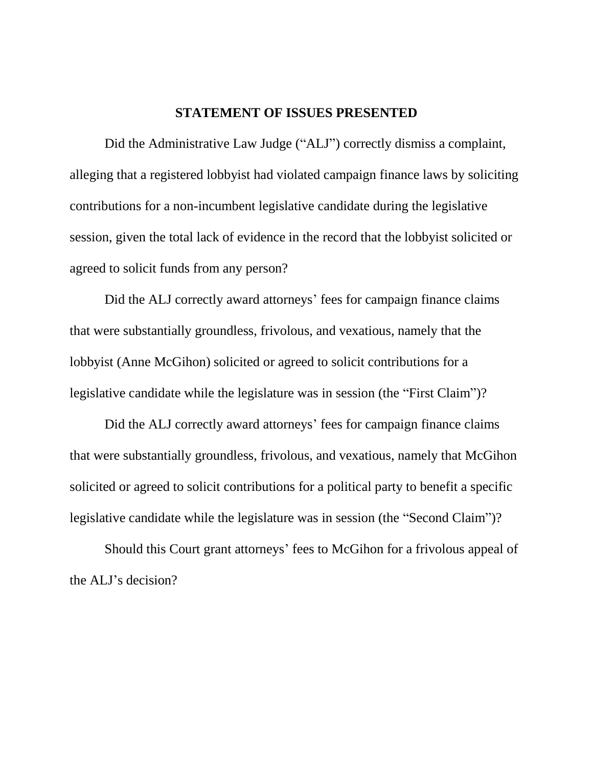#### **STATEMENT OF ISSUES PRESENTED**

Did the Administrative Law Judge ("ALJ") correctly dismiss a complaint, alleging that a registered lobbyist had violated campaign finance laws by soliciting contributions for a non-incumbent legislative candidate during the legislative session, given the total lack of evidence in the record that the lobbyist solicited or agreed to solicit funds from any person?

Did the ALJ correctly award attorneys' fees for campaign finance claims that were substantially groundless, frivolous, and vexatious, namely that the lobbyist (Anne McGihon) solicited or agreed to solicit contributions for a legislative candidate while the legislature was in session (the "First Claim")?

Did the ALJ correctly award attorneys' fees for campaign finance claims that were substantially groundless, frivolous, and vexatious, namely that McGihon solicited or agreed to solicit contributions for a political party to benefit a specific legislative candidate while the legislature was in session (the "Second Claim")?

Should this Court grant attorneys" fees to McGihon for a frivolous appeal of the ALJ"s decision?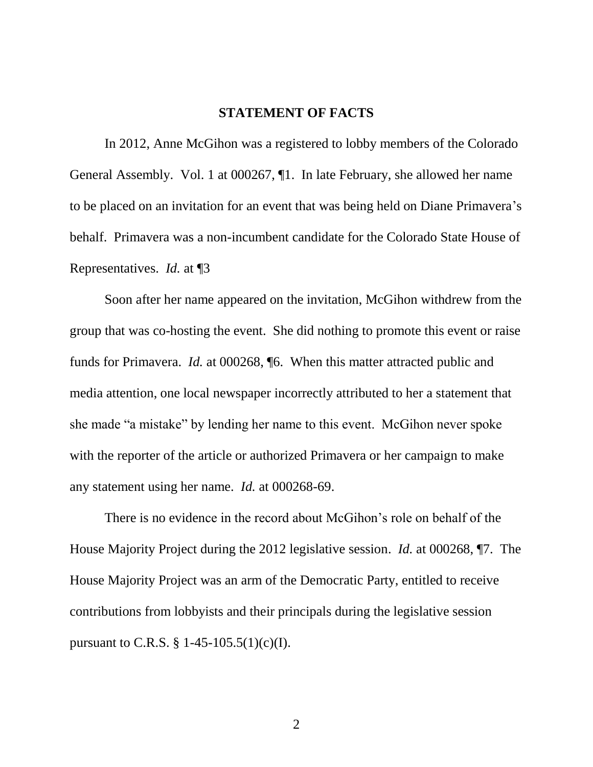#### **STATEMENT OF FACTS**

In 2012, Anne McGihon was a registered to lobby members of the Colorado General Assembly. Vol. 1 at 000267, ¶1. In late February, she allowed her name to be placed on an invitation for an event that was being held on Diane Primavera's behalf. Primavera was a non-incumbent candidate for the Colorado State House of Representatives. *Id.* at ¶3

Soon after her name appeared on the invitation, McGihon withdrew from the group that was co-hosting the event. She did nothing to promote this event or raise funds for Primavera. *Id.* at 000268, ¶6. When this matter attracted public and media attention, one local newspaper incorrectly attributed to her a statement that she made "a mistake" by lending her name to this event. McGihon never spoke with the reporter of the article or authorized Primavera or her campaign to make any statement using her name. *Id.* at 000268-69.

There is no evidence in the record about McGihon"s role on behalf of the House Majority Project during the 2012 legislative session. *Id.* at 000268, ¶7. The House Majority Project was an arm of the Democratic Party, entitled to receive contributions from lobbyists and their principals during the legislative session pursuant to C.R.S. § 1-45-105.5(1)(c)(I).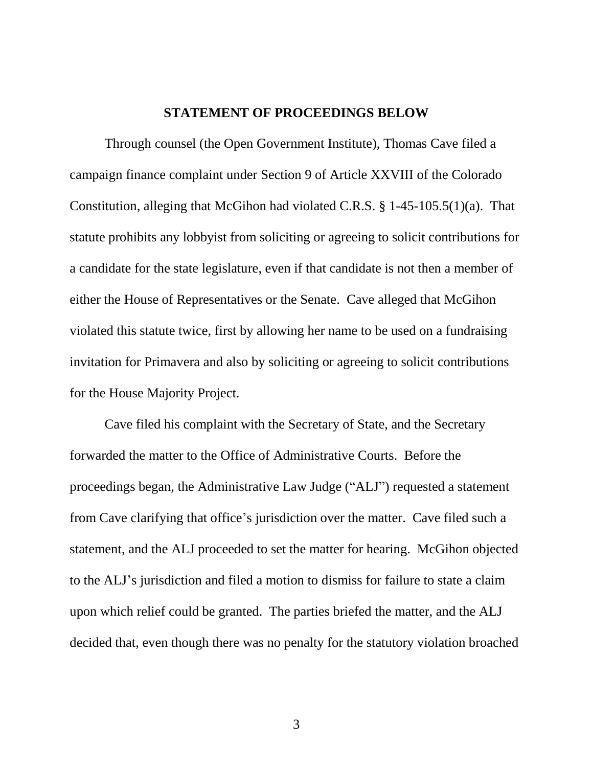#### **STATEMENT OF PROCEEDINGS BELOW**

Through counsel (the Open Government Institute), Thomas Cave filed a campaign finance complaint under Section 9 of Article XXVIII of the Colorado Constitution, alleging that McGihon had violated C.R.S. § 1-45-105.5(1)(a). That statute prohibits any lobbyist from soliciting or agreeing to solicit contributions for a candidate for the state legislature, even if that candidate is not then a member of either the House of Representatives or the Senate. Cave alleged that McGihon violated this statute twice, first by allowing her name to be used on a fundraising invitation for Primavera and also by soliciting or agreeing to solicit contributions for the House Majority Project.

Cave filed his complaint with the Secretary of State, and the Secretary forwarded the matter to the Office of Administrative Courts. Before the proceedings began, the Administrative Law Judge ("ALJ") requested a statement from Cave clarifying that office"s jurisdiction over the matter. Cave filed such a statement, and the ALJ proceeded to set the matter for hearing. McGihon objected to the ALJ"s jurisdiction and filed a motion to dismiss for failure to state a claim upon which relief could be granted. The parties briefed the matter, and the ALJ decided that, even though there was no penalty for the statutory violation broached

3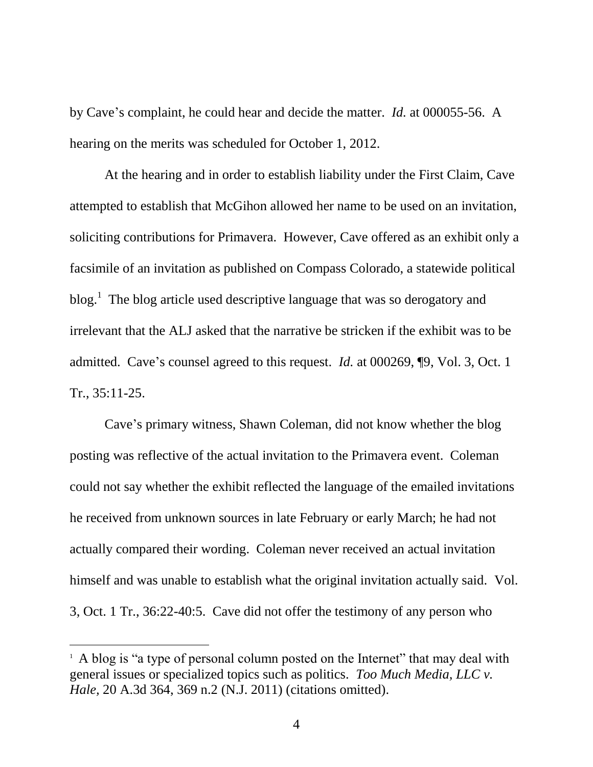by Cave"s complaint, he could hear and decide the matter. *Id.* at 000055-56. A hearing on the merits was scheduled for October 1, 2012.

At the hearing and in order to establish liability under the First Claim, Cave attempted to establish that McGihon allowed her name to be used on an invitation, soliciting contributions for Primavera. However, Cave offered as an exhibit only a facsimile of an invitation as published on Compass Colorado, a statewide political blog.<sup>1</sup> The blog article used descriptive language that was so derogatory and irrelevant that the ALJ asked that the narrative be stricken if the exhibit was to be admitted. Cave's counsel agreed to this request. *Id.* at 000269,  $\P$ 9, Vol. 3, Oct. 1 Tr., 35:11-25.

Cave"s primary witness, Shawn Coleman, did not know whether the blog posting was reflective of the actual invitation to the Primavera event. Coleman could not say whether the exhibit reflected the language of the emailed invitations he received from unknown sources in late February or early March; he had not actually compared their wording. Coleman never received an actual invitation himself and was unable to establish what the original invitation actually said. Vol. 3, Oct. 1 Tr., 36:22-40:5. Cave did not offer the testimony of any person who

 $\overline{a}$ 

<sup>&</sup>lt;sup>1</sup> A blog is "a type of personal column posted on the Internet" that may deal with general issues or specialized topics such as politics. *Too Much Media, LLC v. Hale,* 20 A.3d 364, 369 n.2 (N.J. 2011) (citations omitted).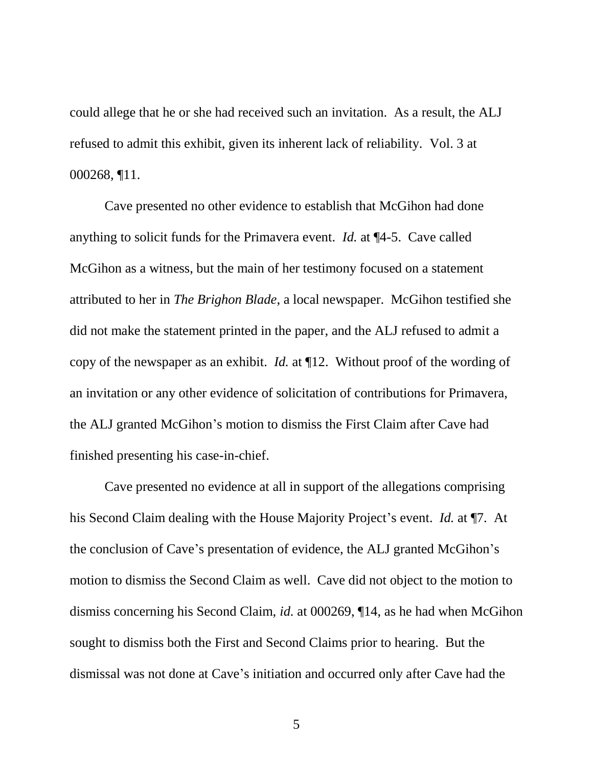could allege that he or she had received such an invitation. As a result, the ALJ refused to admit this exhibit, given its inherent lack of reliability. Vol. 3 at 000268, ¶11.

Cave presented no other evidence to establish that McGihon had done anything to solicit funds for the Primavera event. *Id.* at ¶4-5. Cave called McGihon as a witness, but the main of her testimony focused on a statement attributed to her in *The Brighon Blade*, a local newspaper. McGihon testified she did not make the statement printed in the paper, and the ALJ refused to admit a copy of the newspaper as an exhibit. *Id.* at ¶12. Without proof of the wording of an invitation or any other evidence of solicitation of contributions for Primavera, the ALJ granted McGihon"s motion to dismiss the First Claim after Cave had finished presenting his case-in-chief.

Cave presented no evidence at all in support of the allegations comprising his Second Claim dealing with the House Majority Project's event. *Id.* at ¶7. At the conclusion of Cave"s presentation of evidence, the ALJ granted McGihon"s motion to dismiss the Second Claim as well. Cave did not object to the motion to dismiss concerning his Second Claim, *id.* at 000269, ¶14, as he had when McGihon sought to dismiss both the First and Second Claims prior to hearing. But the dismissal was not done at Cave"s initiation and occurred only after Cave had the

5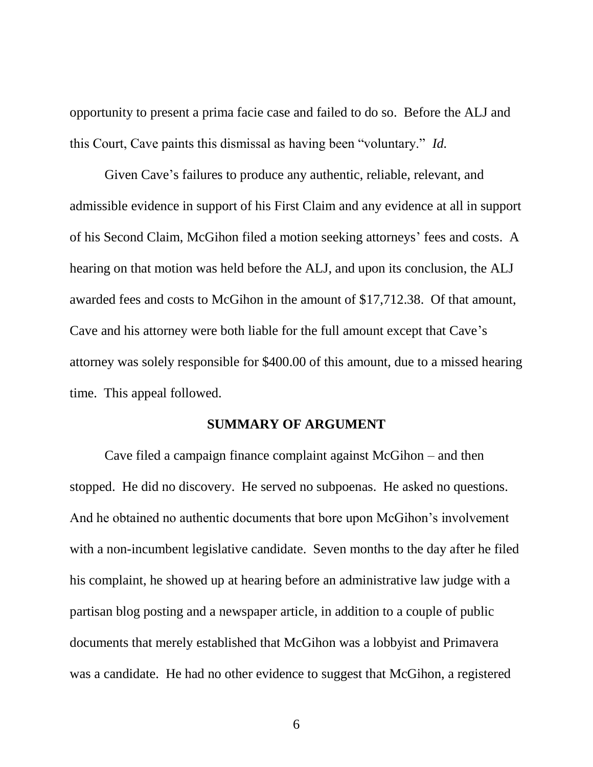opportunity to present a prima facie case and failed to do so. Before the ALJ and this Court, Cave paints this dismissal as having been "voluntary." *Id.*

Given Cave"s failures to produce any authentic, reliable, relevant, and admissible evidence in support of his First Claim and any evidence at all in support of his Second Claim, McGihon filed a motion seeking attorneys" fees and costs. A hearing on that motion was held before the ALJ, and upon its conclusion, the ALJ awarded fees and costs to McGihon in the amount of \$17,712.38. Of that amount, Cave and his attorney were both liable for the full amount except that Cave's attorney was solely responsible for \$400.00 of this amount, due to a missed hearing time. This appeal followed.

#### **SUMMARY OF ARGUMENT**

Cave filed a campaign finance complaint against McGihon – and then stopped. He did no discovery. He served no subpoenas. He asked no questions. And he obtained no authentic documents that bore upon McGihon"s involvement with a non-incumbent legislative candidate. Seven months to the day after he filed his complaint, he showed up at hearing before an administrative law judge with a partisan blog posting and a newspaper article, in addition to a couple of public documents that merely established that McGihon was a lobbyist and Primavera was a candidate. He had no other evidence to suggest that McGihon, a registered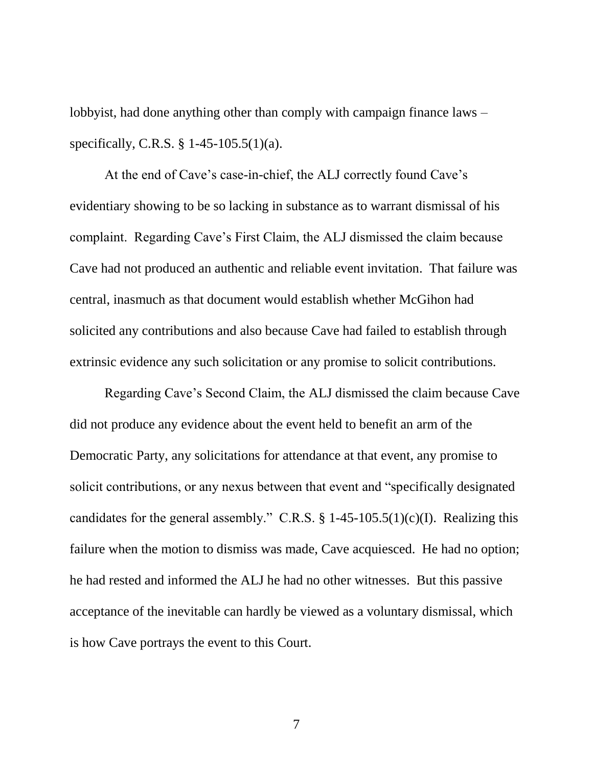lobbyist, had done anything other than comply with campaign finance laws – specifically, C.R.S. § 1-45-105.5(1)(a).

At the end of Cave's case-in-chief, the ALJ correctly found Cave's evidentiary showing to be so lacking in substance as to warrant dismissal of his complaint. Regarding Cave"s First Claim, the ALJ dismissed the claim because Cave had not produced an authentic and reliable event invitation. That failure was central, inasmuch as that document would establish whether McGihon had solicited any contributions and also because Cave had failed to establish through extrinsic evidence any such solicitation or any promise to solicit contributions.

Regarding Cave"s Second Claim, the ALJ dismissed the claim because Cave did not produce any evidence about the event held to benefit an arm of the Democratic Party, any solicitations for attendance at that event, any promise to solicit contributions, or any nexus between that event and "specifically designated candidates for the general assembly." C.R.S. § 1-45-105.5(1)(c)(I). Realizing this failure when the motion to dismiss was made, Cave acquiesced. He had no option; he had rested and informed the ALJ he had no other witnesses. But this passive acceptance of the inevitable can hardly be viewed as a voluntary dismissal, which is how Cave portrays the event to this Court.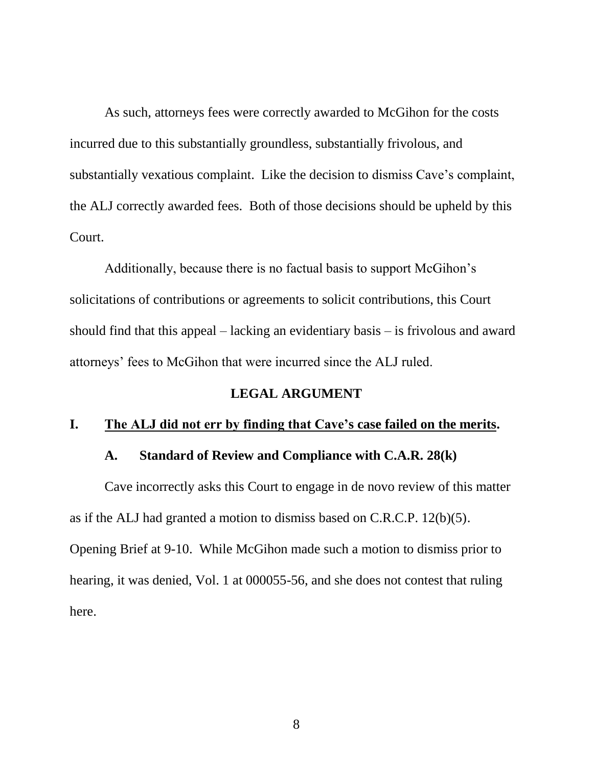As such, attorneys fees were correctly awarded to McGihon for the costs incurred due to this substantially groundless, substantially frivolous, and substantially vexatious complaint. Like the decision to dismiss Cave's complaint, the ALJ correctly awarded fees. Both of those decisions should be upheld by this Court.

Additionally, because there is no factual basis to support McGihon"s solicitations of contributions or agreements to solicit contributions, this Court should find that this appeal – lacking an evidentiary basis – is frivolous and award attorneys" fees to McGihon that were incurred since the ALJ ruled.

### **LEGAL ARGUMENT**

#### **I. The ALJ did not err by finding that Cave's case failed on the merits.**

### **A. Standard of Review and Compliance with C.A.R. 28(k)**

Cave incorrectly asks this Court to engage in de novo review of this matter as if the ALJ had granted a motion to dismiss based on C.R.C.P. 12(b)(5). Opening Brief at 9-10. While McGihon made such a motion to dismiss prior to hearing, it was denied, Vol. 1 at 000055-56, and she does not contest that ruling here.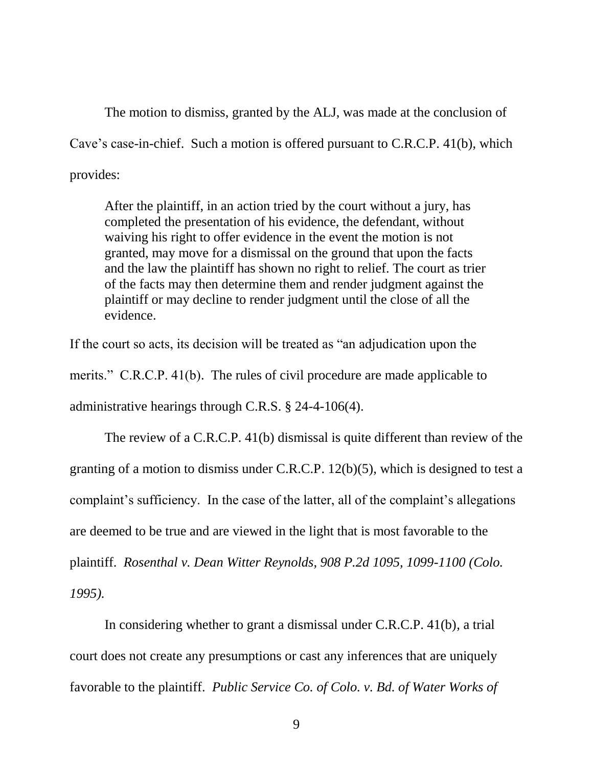The motion to dismiss, granted by the ALJ, was made at the conclusion of Cave"s case-in-chief. Such a motion is offered pursuant to C.R.C.P. 41(b), which provides:

After the plaintiff, in an action tried by the court without a jury, has completed the presentation of his evidence, the defendant, without waiving his right to offer evidence in the event the motion is not granted, may move for a dismissal on the ground that upon the facts and the law the plaintiff has shown no right to relief. The court as trier of the facts may then determine them and render judgment against the plaintiff or may decline to render judgment until the close of all the evidence.

If the court so acts, its decision will be treated as "an adjudication upon the merits." C.R.C.P. 41(b). The rules of civil procedure are made applicable to administrative hearings through C.R.S. § 24-4-106(4).

The review of a C.R.C.P. 41(b) dismissal is quite different than review of the granting of a motion to dismiss under C.R.C.P. 12(b)(5), which is designed to test a complaint's sufficiency. In the case of the latter, all of the complaint's allegations are deemed to be true and are viewed in the light that is most favorable to the plaintiff. *Rosenthal v. Dean Witter Reynolds, 908 P.2d 1095, 1099-1100 (Colo. 1995).*

In considering whether to grant a dismissal under C.R.C.P. 41(b), a trial court does not create any presumptions or cast any inferences that are uniquely favorable to the plaintiff. *Public Service Co. of Colo. v. Bd. of Water Works of*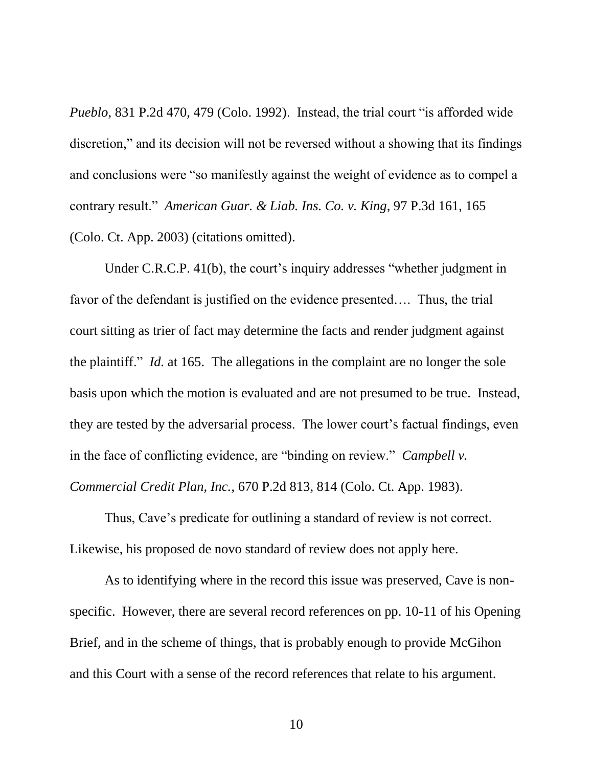*Pueblo*, 831 P.2d 470, 479 (Colo. 1992). Instead, the trial court "is afforded wide discretion," and its decision will not be reversed without a showing that its findings and conclusions were "so manifestly against the weight of evidence as to compel a contrary result." *American Guar. & Liab. Ins. Co. v. King*, 97 P.3d 161, 165 (Colo. Ct. App. 2003) (citations omitted).

Under C.R.C.P. 41(b), the court's inquiry addresses "whether judgment in favor of the defendant is justified on the evidence presented…. Thus, the trial court sitting as trier of fact may determine the facts and render judgment against the plaintiff." *Id.* at 165. The allegations in the complaint are no longer the sole basis upon which the motion is evaluated and are not presumed to be true. Instead, they are tested by the adversarial process. The lower court"s factual findings, even in the face of conflicting evidence, are "binding on review." *Campbell v. Commercial Credit Plan, Inc.*, 670 P.2d 813, 814 (Colo. Ct. App. 1983).

Thus, Cave"s predicate for outlining a standard of review is not correct. Likewise, his proposed de novo standard of review does not apply here.

As to identifying where in the record this issue was preserved, Cave is nonspecific. However, there are several record references on pp. 10-11 of his Opening Brief, and in the scheme of things, that is probably enough to provide McGihon and this Court with a sense of the record references that relate to his argument.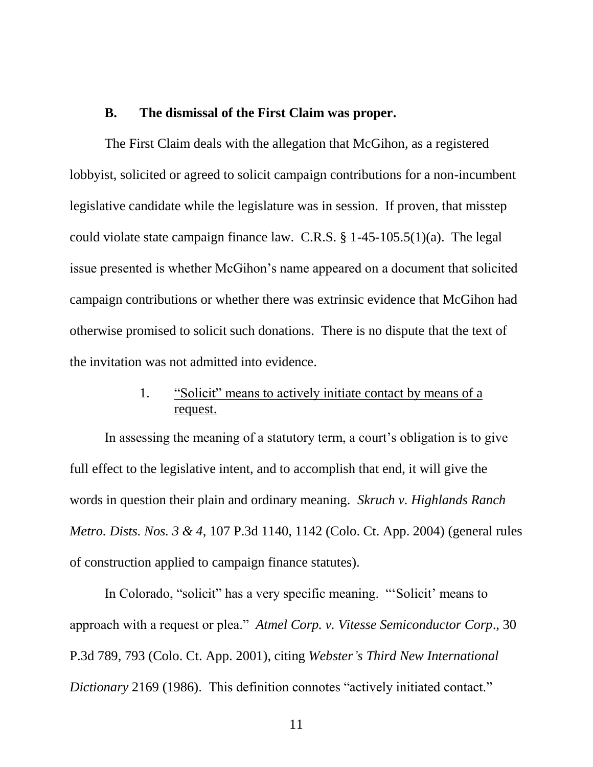#### **B. The dismissal of the First Claim was proper.**

The First Claim deals with the allegation that McGihon, as a registered lobbyist, solicited or agreed to solicit campaign contributions for a non-incumbent legislative candidate while the legislature was in session. If proven, that misstep could violate state campaign finance law. C.R.S. § 1-45-105.5(1)(a). The legal issue presented is whether McGihon"s name appeared on a document that solicited campaign contributions or whether there was extrinsic evidence that McGihon had otherwise promised to solicit such donations. There is no dispute that the text of the invitation was not admitted into evidence.

# 1. "Solicit" means to actively initiate contact by means of a request.

In assessing the meaning of a statutory term, a court's obligation is to give full effect to the legislative intent, and to accomplish that end, it will give the words in question their plain and ordinary meaning. *Skruch v. Highlands Ranch Metro. Dists. Nos. 3 & 4*, 107 P.3d 1140, 1142 (Colo. Ct. App. 2004) (general rules of construction applied to campaign finance statutes).

In Colorado, "solicit" has a very specific meaning. ""Solicit" means to approach with a request or plea." *Atmel Corp. v. Vitesse Semiconductor Corp*., 30 P.3d 789, 793 (Colo. Ct. App. 2001), citing *Webster's Third New International Dictionary* 2169 (1986). This definition connotes "actively initiated contact."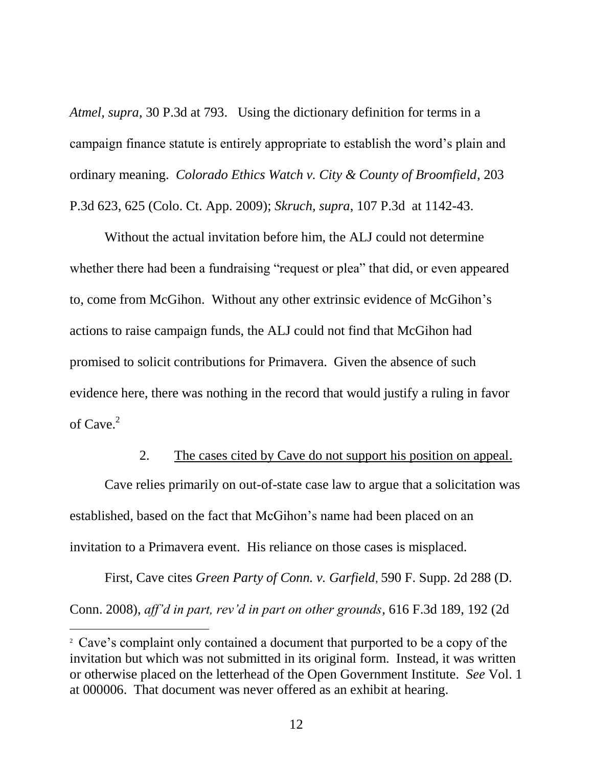*Atmel, supra*, 30 P.3d at 793. Using the dictionary definition for terms in a campaign finance statute is entirely appropriate to establish the word"s plain and ordinary meaning. *Colorado Ethics Watch v. City & County of Broomfield*, 203 P.3d 623, 625 (Colo. Ct. App. 2009); *Skruch, supra*, 107 P.3d at 1142-43.

Without the actual invitation before him, the ALJ could not determine whether there had been a fundraising "request or plea" that did, or even appeared to, come from McGihon. Without any other extrinsic evidence of McGihon"s actions to raise campaign funds, the ALJ could not find that McGihon had promised to solicit contributions for Primavera. Given the absence of such evidence here, there was nothing in the record that would justify a ruling in favor of  $C$ ave. $2$ 

#### 2. The cases cited by Cave do not support his position on appeal.

Cave relies primarily on out-of-state case law to argue that a solicitation was established, based on the fact that McGihon"s name had been placed on an invitation to a Primavera event. His reliance on those cases is misplaced.

First, Cave cites *Green Party of Conn. v. Garfield*, 590 F. Supp. 2d 288 (D. Conn. 2008), *aff'd in part, rev'd in part on other grounds*, 616 F.3d 189, 192 (2d

 $\overline{a}$ 

<sup>&</sup>lt;sup>2</sup> Cave's complaint only contained a document that purported to be a copy of the invitation but which was not submitted in its original form. Instead, it was written or otherwise placed on the letterhead of the Open Government Institute. *See* Vol. 1 at 000006. That document was never offered as an exhibit at hearing.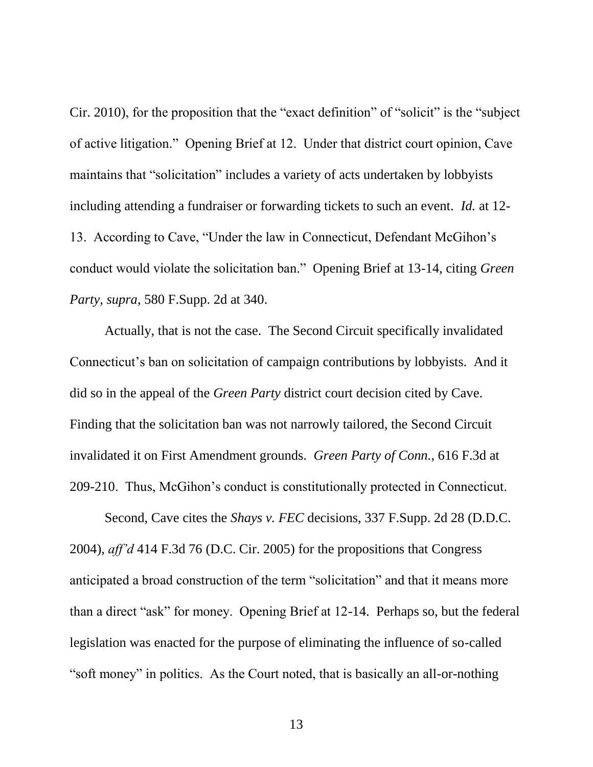Cir. 2010), for the proposition that the "exact definition" of "solicit" is the "subject of active litigation." Opening Brief at 12. Under that district court opinion, Cave maintains that "solicitation" includes a variety of acts undertaken by lobbyists including attending a fundraiser or forwarding tickets to such an event. *Id.* at 12- 13. According to Cave, "Under the law in Connecticut, Defendant McGihon"s conduct would violate the solicitation ban." Opening Brief at 13-14, citing *Green Party, supra*, 580 F.Supp. 2d at 340.

Actually, that is not the case. The Second Circuit specifically invalidated Connecticut's ban on solicitation of campaign contributions by lobbyists. And it did so in the appeal of the *Green Party* district court decision cited by Cave. Finding that the solicitation ban was not narrowly tailored, the Second Circuit invalidated it on First Amendment grounds. *Green Party of Conn.*, 616 F.3d at 209-210. Thus, McGihon"s conduct is constitutionally protected in Connecticut.

Second, Cave cites the *Shays v. FEC* decisions, 337 F.Supp. 2d 28 (D.D.C. 2004), *aff'd* 414 F.3d 76 (D.C. Cir. 2005) for the propositions that Congress anticipated a broad construction of the term "solicitation" and that it means more than a direct "ask" for money. Opening Brief at 12-14. Perhaps so, but the federal legislation was enacted for the purpose of eliminating the influence of so-called "soft money" in politics. As the Court noted, that is basically an all-or-nothing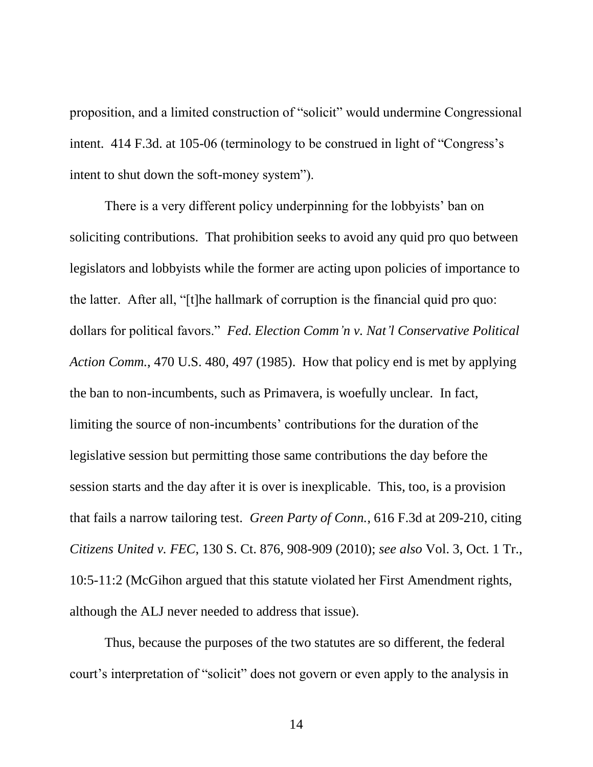proposition, and a limited construction of "solicit" would undermine Congressional intent. 414 F.3d. at 105-06 (terminology to be construed in light of "Congress's intent to shut down the soft-money system").

There is a very different policy underpinning for the lobbyists' ban on soliciting contributions. That prohibition seeks to avoid any quid pro quo between legislators and lobbyists while the former are acting upon policies of importance to the latter. After all, "[t]he hallmark of corruption is the financial quid pro quo: dollars for political favors." *Fed. Election Comm'n v. Nat'l Conservative Political Action Comm.*, 470 U.S. 480, 497 (1985). How that policy end is met by applying the ban to non-incumbents, such as Primavera, is woefully unclear. In fact, limiting the source of non-incumbents' contributions for the duration of the legislative session but permitting those same contributions the day before the session starts and the day after it is over is inexplicable. This, too, is a provision that fails a narrow tailoring test. *Green Party of Conn.*, 616 F.3d at 209-210, citing *Citizens United v. FEC*, 130 S. Ct. 876, 908-909 (2010); *see also* Vol. 3, Oct. 1 Tr., 10:5-11:2 (McGihon argued that this statute violated her First Amendment rights, although the ALJ never needed to address that issue).

Thus, because the purposes of the two statutes are so different, the federal court"s interpretation of "solicit" does not govern or even apply to the analysis in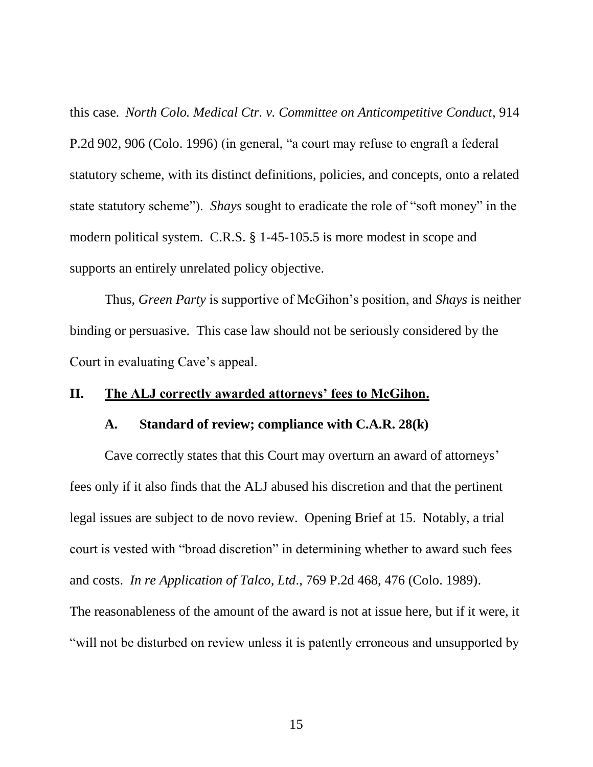this case*. North Colo. Medical Ctr. v. Committee on Anticompetitive Conduct*, 914 P.2d 902, 906 (Colo. 1996) (in general, "a court may refuse to engraft a federal statutory scheme, with its distinct definitions, policies, and concepts, onto a related state statutory scheme"). *Shays* sought to eradicate the role of "soft money" in the modern political system. C.R.S. § 1-45-105.5 is more modest in scope and supports an entirely unrelated policy objective.

Thus, *Green Party* is supportive of McGihon"s position, and *Shays* is neither binding or persuasive. This case law should not be seriously considered by the Court in evaluating Cave"s appeal.

#### **II. The ALJ correctly awarded attorneys' fees to McGihon.**

#### **A. Standard of review; compliance with C.A.R. 28(k)**

Cave correctly states that this Court may overturn an award of attorneys' fees only if it also finds that the ALJ abused his discretion and that the pertinent legal issues are subject to de novo review. Opening Brief at 15. Notably, a trial court is vested with "broad discretion" in determining whether to award such fees and costs. *In re Application of Talco, Ltd*., 769 P.2d 468, 476 (Colo. 1989). The reasonableness of the amount of the award is not at issue here, but if it were, it "will not be disturbed on review unless it is patently erroneous and unsupported by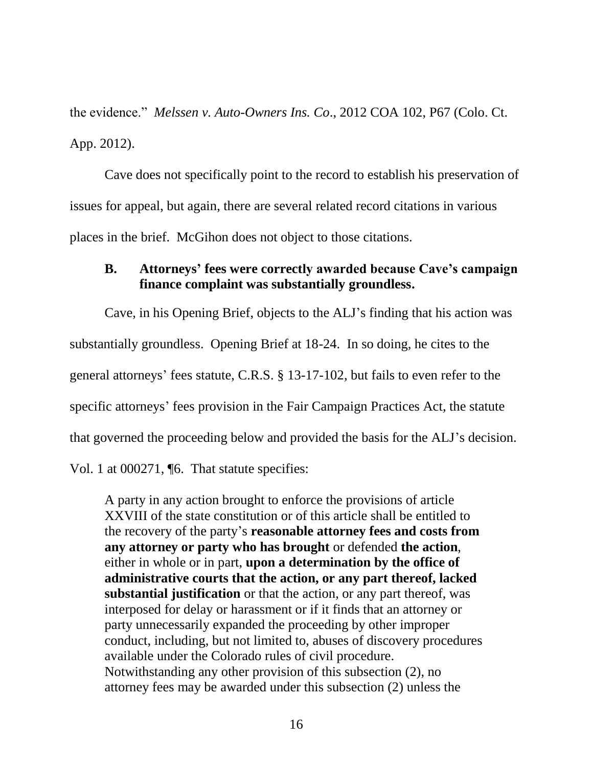the evidence." *Melssen v. Auto-Owners Ins. Co*., 2012 COA 102, P67 (Colo. Ct. App. 2012).

Cave does not specifically point to the record to establish his preservation of issues for appeal, but again, there are several related record citations in various places in the brief. McGihon does not object to those citations.

# **B. Attorneys' fees were correctly awarded because Cave's campaign finance complaint was substantially groundless.**

Cave, in his Opening Brief, objects to the ALJ"s finding that his action was substantially groundless. Opening Brief at 18-24. In so doing, he cites to the general attorneys" fees statute, C.R.S. § 13-17-102, but fails to even refer to the specific attorneys' fees provision in the Fair Campaign Practices Act, the statute that governed the proceeding below and provided the basis for the ALJ"s decision.

Vol. 1 at 000271, ¶6. That statute specifies:

A party in any action brought to enforce the provisions of article XXVIII of the state constitution or of this article shall be entitled to the recovery of the party"s **reasonable attorney fees and costs from any attorney or party who has brought** or defended **the action**, either in whole or in part, **upon a determination by the office of administrative courts that the action, or any part thereof, lacked substantial justification** or that the action, or any part thereof, was interposed for delay or harassment or if it finds that an attorney or party unnecessarily expanded the proceeding by other improper conduct, including, but not limited to, abuses of discovery procedures available under the Colorado rules of civil procedure. Notwithstanding any other provision of this subsection (2), no attorney fees may be awarded under this subsection (2) unless the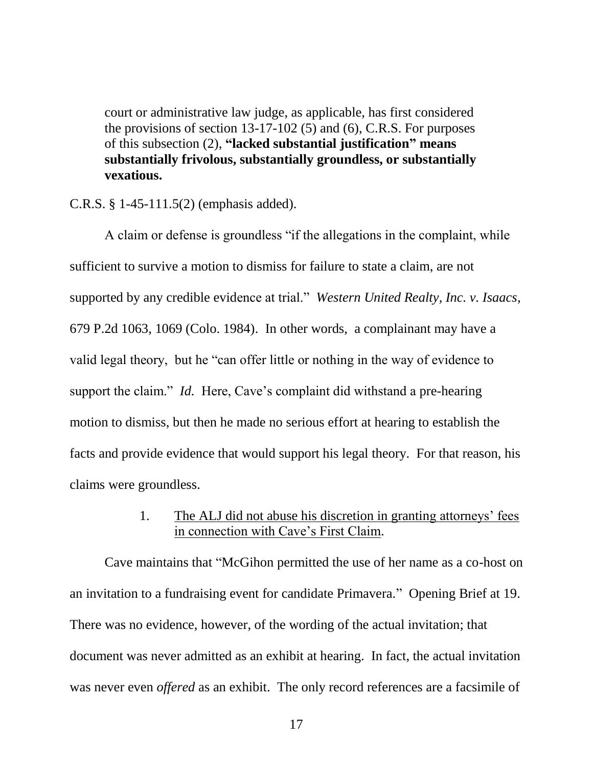court or administrative law judge, as applicable, has first considered the provisions of section 13-17-102 (5) and (6), C.R.S. For purposes of this subsection (2), **"lacked substantial justification" means substantially frivolous, substantially groundless, or substantially vexatious.**

C.R.S. § 1-45-111.5(2) (emphasis added).

A claim or defense is groundless "if the allegations in the complaint, while sufficient to survive a motion to dismiss for failure to state a claim, are not supported by any credible evidence at trial." *Western United Realty, Inc. v. Isaacs*, 679 P.2d 1063, 1069 (Colo. 1984). In other words, a complainant may have a valid legal theory, but he "can offer little or nothing in the way of evidence to support the claim." *Id.* Here, Cave's complaint did withstand a pre-hearing motion to dismiss, but then he made no serious effort at hearing to establish the facts and provide evidence that would support his legal theory. For that reason, his claims were groundless.

# 1. The ALJ did not abuse his discretion in granting attorneys' fees in connection with Cave's First Claim.

Cave maintains that "McGihon permitted the use of her name as a co-host on an invitation to a fundraising event for candidate Primavera." Opening Brief at 19. There was no evidence, however, of the wording of the actual invitation; that document was never admitted as an exhibit at hearing. In fact, the actual invitation was never even *offered* as an exhibit. The only record references are a facsimile of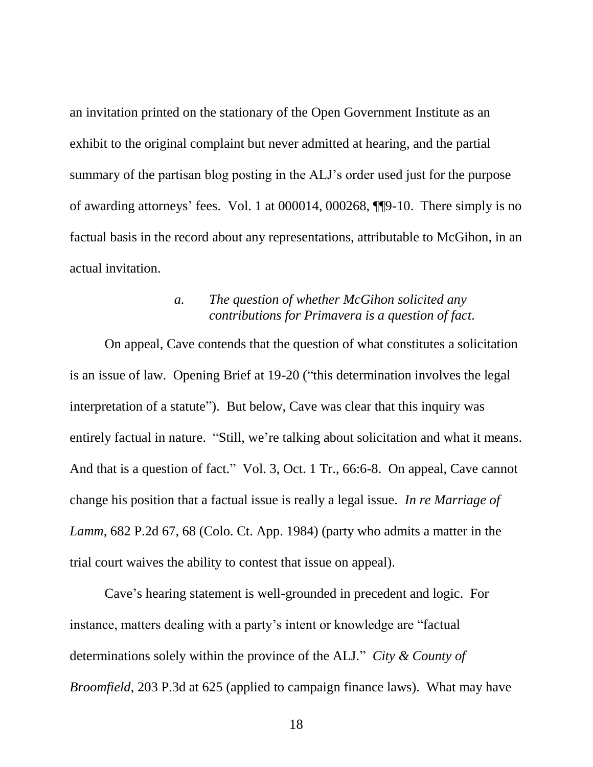an invitation printed on the stationary of the Open Government Institute as an exhibit to the original complaint but never admitted at hearing, and the partial summary of the partisan blog posting in the ALJ"s order used just for the purpose of awarding attorneys" fees. Vol. 1 at 000014, 000268, ¶¶9-10. There simply is no factual basis in the record about any representations, attributable to McGihon, in an actual invitation.

### *a. The question of whether McGihon solicited any contributions for Primavera is a question of fact.*

On appeal, Cave contends that the question of what constitutes a solicitation is an issue of law. Opening Brief at 19-20 ("this determination involves the legal interpretation of a statute"). But below, Cave was clear that this inquiry was entirely factual in nature. "Still, we're talking about solicitation and what it means. And that is a question of fact." Vol. 3, Oct. 1 Tr., 66:6-8. On appeal, Cave cannot change his position that a factual issue is really a legal issue. *In re Marriage of Lamm*, 682 P.2d 67, 68 (Colo. Ct. App. 1984) (party who admits a matter in the trial court waives the ability to contest that issue on appeal).

Cave"s hearing statement is well-grounded in precedent and logic. For instance, matters dealing with a party's intent or knowledge are "factual" determinations solely within the province of the ALJ." *City & County of Broomfield*, 203 P.3d at 625 (applied to campaign finance laws). What may have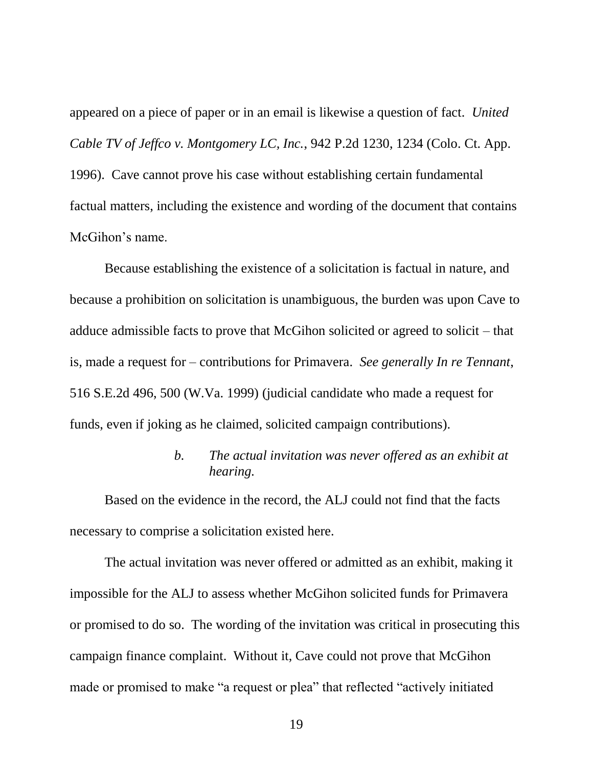appeared on a piece of paper or in an email is likewise a question of fact. *United Cable TV of Jeffco v. Montgomery LC, Inc.*, 942 P.2d 1230, 1234 (Colo. Ct. App. 1996). Cave cannot prove his case without establishing certain fundamental factual matters, including the existence and wording of the document that contains McGihon"s name.

Because establishing the existence of a solicitation is factual in nature, and because a prohibition on solicitation is unambiguous, the burden was upon Cave to adduce admissible facts to prove that McGihon solicited or agreed to solicit – that is, made a request for – contributions for Primavera. *See generally In re Tennant*, 516 S.E.2d 496, 500 (W.Va. 1999) (judicial candidate who made a request for funds, even if joking as he claimed, solicited campaign contributions).

# *b. The actual invitation was never offered as an exhibit at hearing.*

Based on the evidence in the record, the ALJ could not find that the facts necessary to comprise a solicitation existed here.

The actual invitation was never offered or admitted as an exhibit, making it impossible for the ALJ to assess whether McGihon solicited funds for Primavera or promised to do so. The wording of the invitation was critical in prosecuting this campaign finance complaint. Without it, Cave could not prove that McGihon made or promised to make "a request or plea" that reflected "actively initiated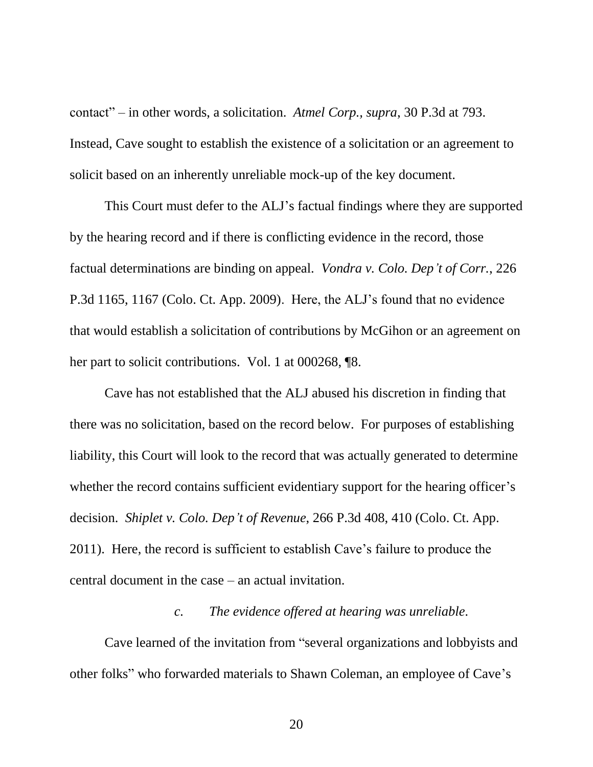contact" – in other words, a solicitation. *Atmel Corp., supra*, 30 P.3d at 793. Instead, Cave sought to establish the existence of a solicitation or an agreement to solicit based on an inherently unreliable mock-up of the key document.

This Court must defer to the ALJ"s factual findings where they are supported by the hearing record and if there is conflicting evidence in the record, those factual determinations are binding on appeal. *Vondra v. Colo. Dep't of Corr.*, 226 P.3d 1165, 1167 (Colo. Ct. App. 2009). Here, the ALJ"s found that no evidence that would establish a solicitation of contributions by McGihon or an agreement on her part to solicit contributions. Vol. 1 at 000268,  $\sqrt{8}$ .

Cave has not established that the ALJ abused his discretion in finding that there was no solicitation, based on the record below. For purposes of establishing liability, this Court will look to the record that was actually generated to determine whether the record contains sufficient evidentiary support for the hearing officer's decision. *Shiplet v. Colo. Dep't of Revenue*, 266 P.3d 408, 410 (Colo. Ct. App. 2011). Here, the record is sufficient to establish Cave"s failure to produce the central document in the case – an actual invitation.

#### *c. The evidence offered at hearing was unreliable.*

Cave learned of the invitation from "several organizations and lobbyists and other folks" who forwarded materials to Shawn Coleman, an employee of Cave"s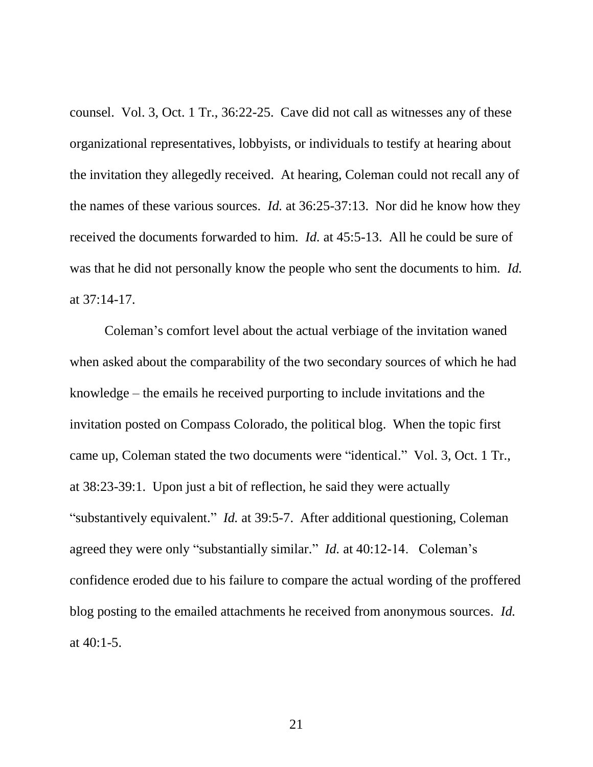counsel. Vol. 3, Oct. 1 Tr., 36:22-25. Cave did not call as witnesses any of these organizational representatives, lobbyists, or individuals to testify at hearing about the invitation they allegedly received. At hearing, Coleman could not recall any of the names of these various sources. *Id.* at 36:25-37:13. Nor did he know how they received the documents forwarded to him. *Id.* at 45:5-13. All he could be sure of was that he did not personally know the people who sent the documents to him. *Id.* at 37:14-17.

Coleman"s comfort level about the actual verbiage of the invitation waned when asked about the comparability of the two secondary sources of which he had knowledge – the emails he received purporting to include invitations and the invitation posted on Compass Colorado, the political blog. When the topic first came up, Coleman stated the two documents were "identical." Vol. 3, Oct. 1 Tr., at 38:23-39:1. Upon just a bit of reflection, he said they were actually "substantively equivalent." *Id.* at 39:5-7. After additional questioning, Coleman agreed they were only "substantially similar." *Id.* at 40:12-14. Coleman's confidence eroded due to his failure to compare the actual wording of the proffered blog posting to the emailed attachments he received from anonymous sources. *Id.* at 40:1-5.

21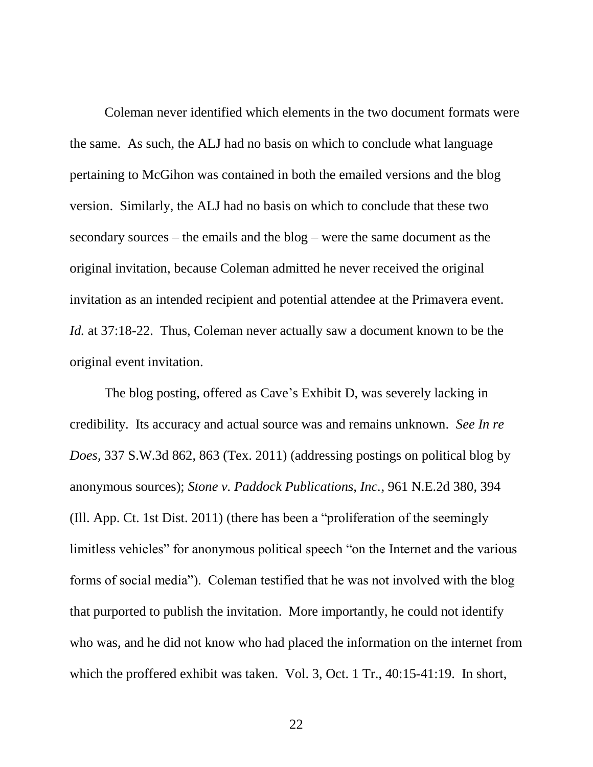Coleman never identified which elements in the two document formats were the same. As such, the ALJ had no basis on which to conclude what language pertaining to McGihon was contained in both the emailed versions and the blog version. Similarly, the ALJ had no basis on which to conclude that these two secondary sources – the emails and the blog – were the same document as the original invitation, because Coleman admitted he never received the original invitation as an intended recipient and potential attendee at the Primavera event. *Id.* at 37:18-22. Thus, Coleman never actually saw a document known to be the original event invitation.

The blog posting, offered as Cave's Exhibit D, was severely lacking in credibility. Its accuracy and actual source was and remains unknown. *See In re Does*, 337 S.W.3d 862, 863 (Tex. 2011) (addressing postings on political blog by anonymous sources); *Stone v. Paddock Publications, Inc.*, 961 N.E.2d 380, 394 (Ill. App. Ct. 1st Dist. 2011) (there has been a "proliferation of the seemingly limitless vehicles" for anonymous political speech "on the Internet and the various forms of social media"). Coleman testified that he was not involved with the blog that purported to publish the invitation. More importantly, he could not identify who was, and he did not know who had placed the information on the internet from which the proffered exhibit was taken. Vol. 3, Oct. 1 Tr., 40:15-41:19. In short,

22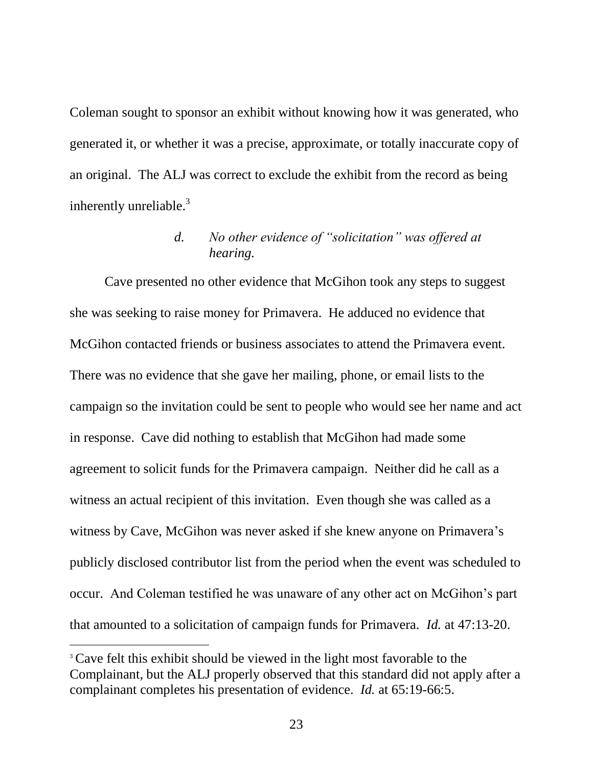Coleman sought to sponsor an exhibit without knowing how it was generated, who generated it, or whether it was a precise, approximate, or totally inaccurate copy of an original. The ALJ was correct to exclude the exhibit from the record as being inherently unreliable.<sup>3</sup>

# *d. No other evidence of "solicitation" was offered at hearing.*

Cave presented no other evidence that McGihon took any steps to suggest she was seeking to raise money for Primavera. He adduced no evidence that McGihon contacted friends or business associates to attend the Primavera event. There was no evidence that she gave her mailing, phone, or email lists to the campaign so the invitation could be sent to people who would see her name and act in response. Cave did nothing to establish that McGihon had made some agreement to solicit funds for the Primavera campaign. Neither did he call as a witness an actual recipient of this invitation. Even though she was called as a witness by Cave, McGihon was never asked if she knew anyone on Primavera's publicly disclosed contributor list from the period when the event was scheduled to occur. And Coleman testified he was unaware of any other act on McGihon"s part that amounted to a solicitation of campaign funds for Primavera. *Id.* at 47:13-20.

 $\overline{a}$ 

<sup>&</sup>lt;sup>3</sup> Cave felt this exhibit should be viewed in the light most favorable to the Complainant, but the ALJ properly observed that this standard did not apply after a complainant completes his presentation of evidence. *Id.* at 65:19-66:5.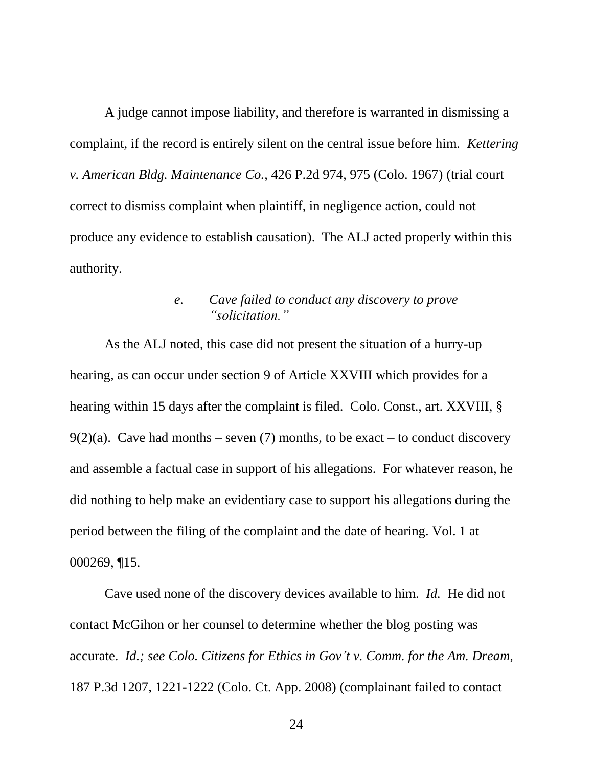A judge cannot impose liability, and therefore is warranted in dismissing a complaint, if the record is entirely silent on the central issue before him. *Kettering v. American Bldg. Maintenance Co.*, 426 P.2d 974, 975 (Colo. 1967) (trial court correct to dismiss complaint when plaintiff, in negligence action, could not produce any evidence to establish causation). The ALJ acted properly within this authority.

### *e. Cave failed to conduct any discovery to prove "solicitation."*

As the ALJ noted, this case did not present the situation of a hurry-up hearing, as can occur under section 9 of Article XXVIII which provides for a hearing within 15 days after the complaint is filed. Colo. Const., art. XXVIII, § 9(2)(a). Cave had months – seven (7) months, to be exact – to conduct discovery and assemble a factual case in support of his allegations. For whatever reason, he did nothing to help make an evidentiary case to support his allegations during the period between the filing of the complaint and the date of hearing. Vol. 1 at 000269, ¶15.

Cave used none of the discovery devices available to him. *Id.* He did not contact McGihon or her counsel to determine whether the blog posting was accurate. *Id.; see Colo. Citizens for Ethics in Gov't v. Comm. for the Am. Dream,*  187 P.3d 1207, 1221-1222 (Colo. Ct. App. 2008) (complainant failed to contact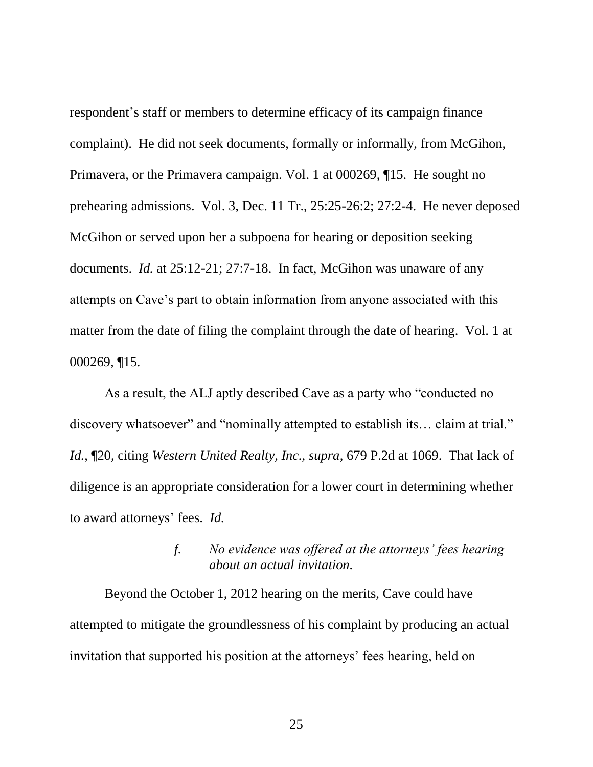respondent's staff or members to determine efficacy of its campaign finance complaint). He did not seek documents, formally or informally, from McGihon, Primavera, or the Primavera campaign. Vol. 1 at 000269, ¶15. He sought no prehearing admissions. Vol. 3, Dec. 11 Tr., 25:25-26:2; 27:2-4. He never deposed McGihon or served upon her a subpoena for hearing or deposition seeking documents. *Id.* at 25:12-21; 27:7-18. In fact, McGihon was unaware of any attempts on Cave"s part to obtain information from anyone associated with this matter from the date of filing the complaint through the date of hearing. Vol. 1 at 000269, ¶15.

As a result, the ALJ aptly described Cave as a party who "conducted no discovery whatsoever" and "nominally attempted to establish its… claim at trial." *Id.*, ¶20, citing *Western United Realty, Inc., supra*, 679 P.2d at 1069. That lack of diligence is an appropriate consideration for a lower court in determining whether to award attorneys" fees. *Id.*

## *f. No evidence was offered at the attorneys' fees hearing about an actual invitation.*

Beyond the October 1, 2012 hearing on the merits, Cave could have attempted to mitigate the groundlessness of his complaint by producing an actual invitation that supported his position at the attorneys' fees hearing, held on

25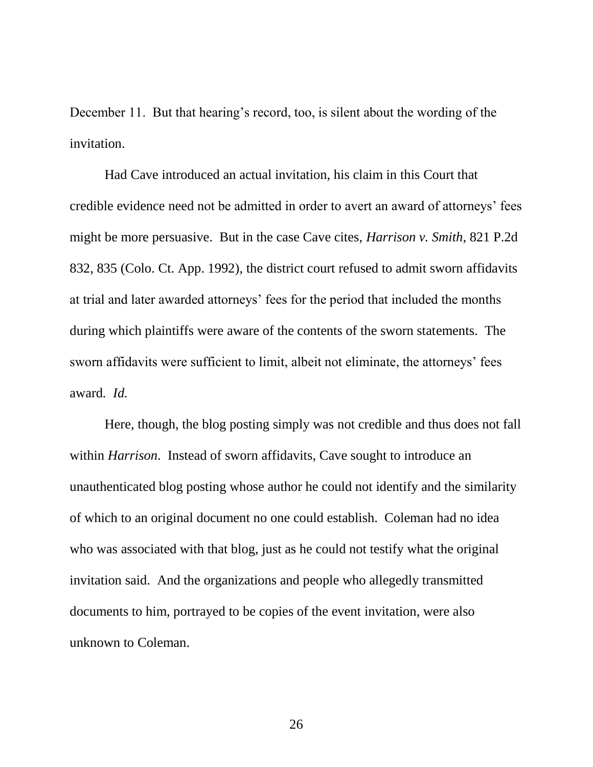December 11. But that hearing's record, too, is silent about the wording of the invitation.

Had Cave introduced an actual invitation, his claim in this Court that credible evidence need not be admitted in order to avert an award of attorneys" fees might be more persuasive. But in the case Cave cites, *Harrison v. Smith*, 821 P.2d 832, 835 (Colo. Ct. App. 1992), the district court refused to admit sworn affidavits at trial and later awarded attorneys" fees for the period that included the months during which plaintiffs were aware of the contents of the sworn statements. The sworn affidavits were sufficient to limit, albeit not eliminate, the attorneys' fees award*. Id.*

Here, though, the blog posting simply was not credible and thus does not fall within *Harrison*. Instead of sworn affidavits, Cave sought to introduce an unauthenticated blog posting whose author he could not identify and the similarity of which to an original document no one could establish. Coleman had no idea who was associated with that blog, just as he could not testify what the original invitation said. And the organizations and people who allegedly transmitted documents to him, portrayed to be copies of the event invitation, were also unknown to Coleman.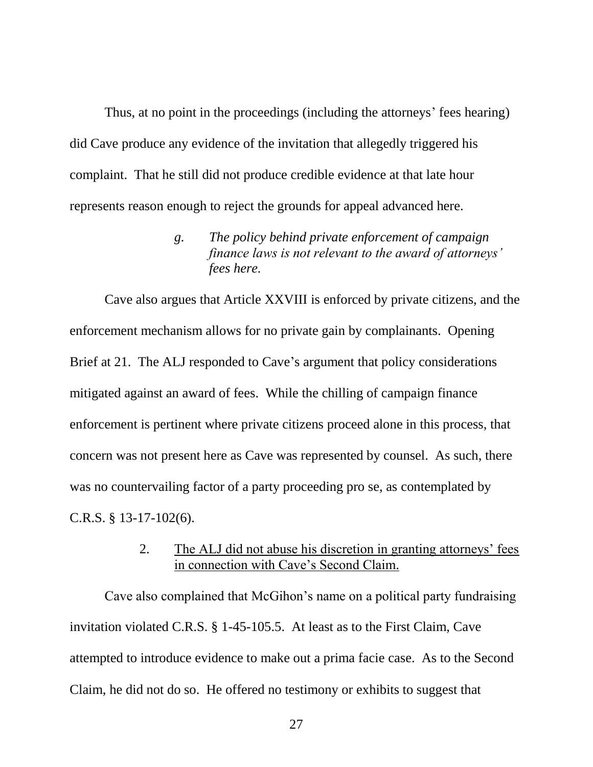Thus, at no point in the proceedings (including the attorneys' fees hearing) did Cave produce any evidence of the invitation that allegedly triggered his complaint. That he still did not produce credible evidence at that late hour represents reason enough to reject the grounds for appeal advanced here.

> *g. The policy behind private enforcement of campaign finance laws is not relevant to the award of attorneys' fees here.*

Cave also argues that Article XXVIII is enforced by private citizens, and the enforcement mechanism allows for no private gain by complainants. Opening Brief at 21. The ALJ responded to Cave's argument that policy considerations mitigated against an award of fees. While the chilling of campaign finance enforcement is pertinent where private citizens proceed alone in this process, that concern was not present here as Cave was represented by counsel. As such, there was no countervailing factor of a party proceeding pro se, as contemplated by C.R.S. § 13-17-102(6).

> 2. The ALJ did not abuse his discretion in granting attorneys' fees in connection with Cave"s Second Claim.

Cave also complained that McGihon"s name on a political party fundraising invitation violated C.R.S. § 1-45-105.5. At least as to the First Claim, Cave attempted to introduce evidence to make out a prima facie case. As to the Second Claim, he did not do so. He offered no testimony or exhibits to suggest that

27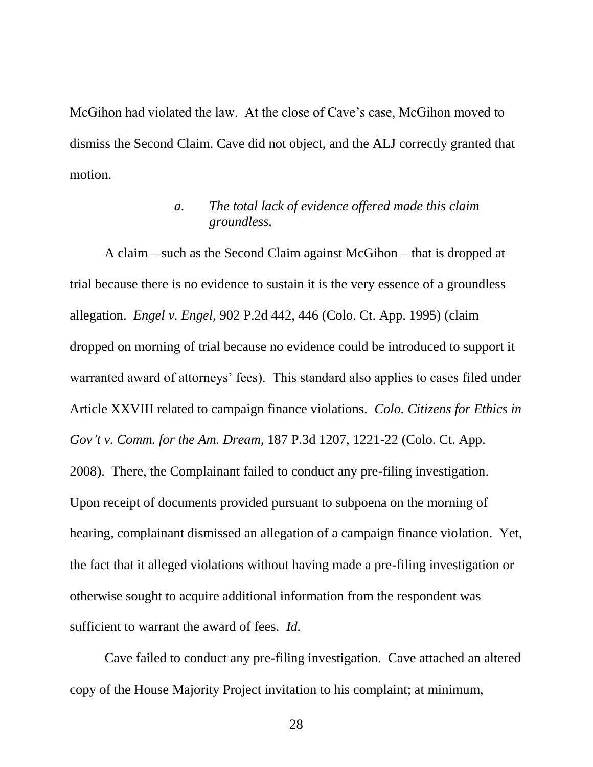McGihon had violated the law. At the close of Cave"s case, McGihon moved to dismiss the Second Claim. Cave did not object, and the ALJ correctly granted that motion.

## *a. The total lack of evidence offered made this claim groundless.*

A claim – such as the Second Claim against McGihon – that is dropped at trial because there is no evidence to sustain it is the very essence of a groundless allegation. *Engel v. Engel*, 902 P.2d 442, 446 (Colo. Ct. App. 1995) (claim dropped on morning of trial because no evidence could be introduced to support it warranted award of attorneys' fees). This standard also applies to cases filed under Article XXVIII related to campaign finance violations. *Colo. Citizens for Ethics in Gov't v. Comm. for the Am. Dream*, 187 P.3d 1207, 1221-22 (Colo. Ct. App. 2008). There, the Complainant failed to conduct any pre-filing investigation. Upon receipt of documents provided pursuant to subpoena on the morning of hearing, complainant dismissed an allegation of a campaign finance violation. Yet, the fact that it alleged violations without having made a pre-filing investigation or otherwise sought to acquire additional information from the respondent was sufficient to warrant the award of fees. *Id.*

Cave failed to conduct any pre-filing investigation. Cave attached an altered copy of the House Majority Project invitation to his complaint; at minimum,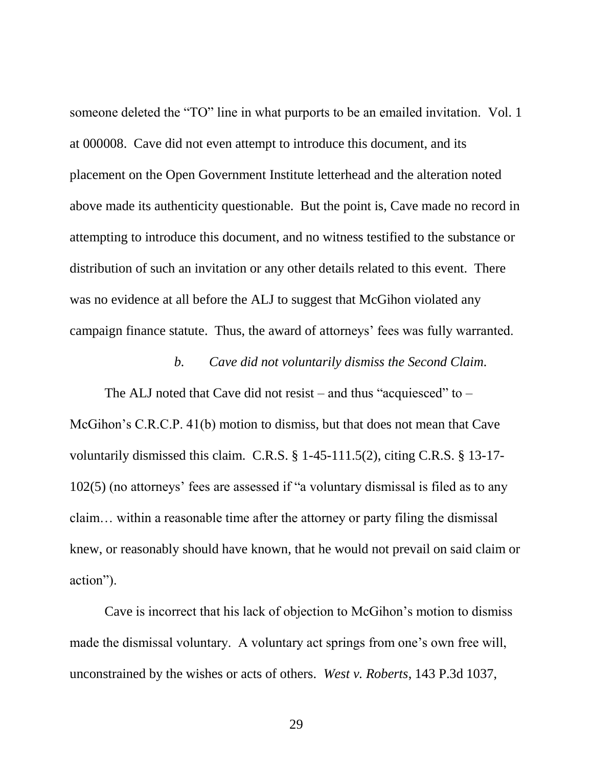someone deleted the "TO" line in what purports to be an emailed invitation. Vol. 1 at 000008. Cave did not even attempt to introduce this document, and its placement on the Open Government Institute letterhead and the alteration noted above made its authenticity questionable. But the point is, Cave made no record in attempting to introduce this document, and no witness testified to the substance or distribution of such an invitation or any other details related to this event. There was no evidence at all before the ALJ to suggest that McGihon violated any campaign finance statute. Thus, the award of attorneys' fees was fully warranted.

#### *b. Cave did not voluntarily dismiss the Second Claim.*

The ALJ noted that Cave did not resist – and thus "acquiesced" to  $-$ McGihon"s C.R.C.P. 41(b) motion to dismiss, but that does not mean that Cave voluntarily dismissed this claim. C.R.S. § 1-45-111.5(2), citing C.R.S. § 13-17- 102(5) (no attorneys" fees are assessed if "a voluntary dismissal is filed as to any claim… within a reasonable time after the attorney or party filing the dismissal knew, or reasonably should have known, that he would not prevail on said claim or action").

Cave is incorrect that his lack of objection to McGihon"s motion to dismiss made the dismissal voluntary. A voluntary act springs from one's own free will, unconstrained by the wishes or acts of others. *West v. Roberts*, 143 P.3d 1037,

29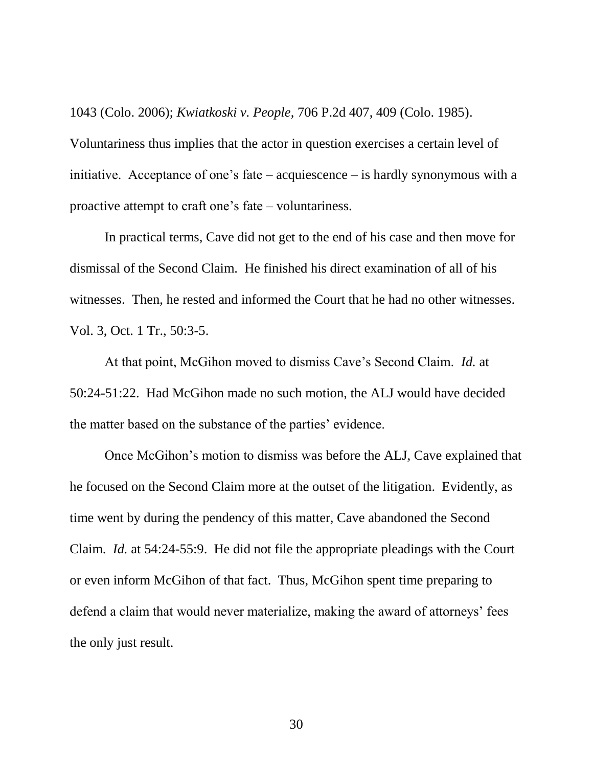1043 (Colo. 2006); *Kwiatkoski v. People*, 706 P.2d 407, 409 (Colo. 1985).

Voluntariness thus implies that the actor in question exercises a certain level of initiative. Acceptance of one"s fate – acquiescence – is hardly synonymous with a proactive attempt to craft one"s fate – voluntariness.

In practical terms, Cave did not get to the end of his case and then move for dismissal of the Second Claim. He finished his direct examination of all of his witnesses. Then, he rested and informed the Court that he had no other witnesses. Vol. 3, Oct. 1 Tr., 50:3-5.

At that point, McGihon moved to dismiss Cave"s Second Claim. *Id.* at 50:24-51:22. Had McGihon made no such motion, the ALJ would have decided the matter based on the substance of the parties' evidence.

Once McGihon"s motion to dismiss was before the ALJ, Cave explained that he focused on the Second Claim more at the outset of the litigation. Evidently, as time went by during the pendency of this matter, Cave abandoned the Second Claim. *Id.* at 54:24-55:9. He did not file the appropriate pleadings with the Court or even inform McGihon of that fact. Thus, McGihon spent time preparing to defend a claim that would never materialize, making the award of attorneys' fees the only just result.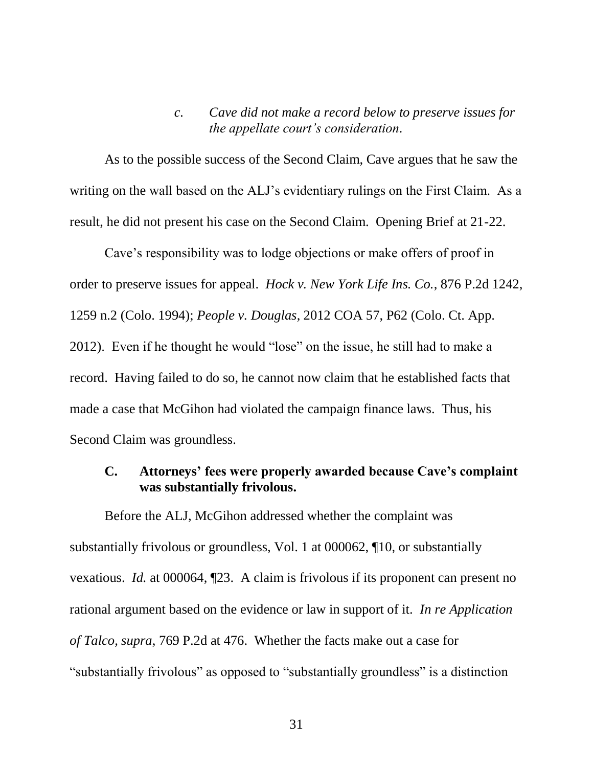### *c. Cave did not make a record below to preserve issues for the appellate court's consideration.*

As to the possible success of the Second Claim, Cave argues that he saw the writing on the wall based on the ALJ"s evidentiary rulings on the First Claim. As a result, he did not present his case on the Second Claim. Opening Brief at 21-22.

Cave"s responsibility was to lodge objections or make offers of proof in order to preserve issues for appeal. *Hock v. New York Life Ins. Co.*, 876 P.2d 1242, 1259 n.2 (Colo. 1994); *People v. Douglas*, 2012 COA 57, P62 (Colo. Ct. App. 2012). Even if he thought he would "lose" on the issue, he still had to make a record. Having failed to do so, he cannot now claim that he established facts that made a case that McGihon had violated the campaign finance laws. Thus, his Second Claim was groundless.

# **C. Attorneys' fees were properly awarded because Cave's complaint was substantially frivolous.**

Before the ALJ, McGihon addressed whether the complaint was substantially frivolous or groundless, Vol. 1 at 000062, ¶10, or substantially vexatious. *Id.* at 000064, ¶23. A claim is frivolous if its proponent can present no rational argument based on the evidence or law in support of it. *In re Application of Talco, supra*, 769 P.2d at 476. Whether the facts make out a case for "substantially frivolous" as opposed to "substantially groundless" is a distinction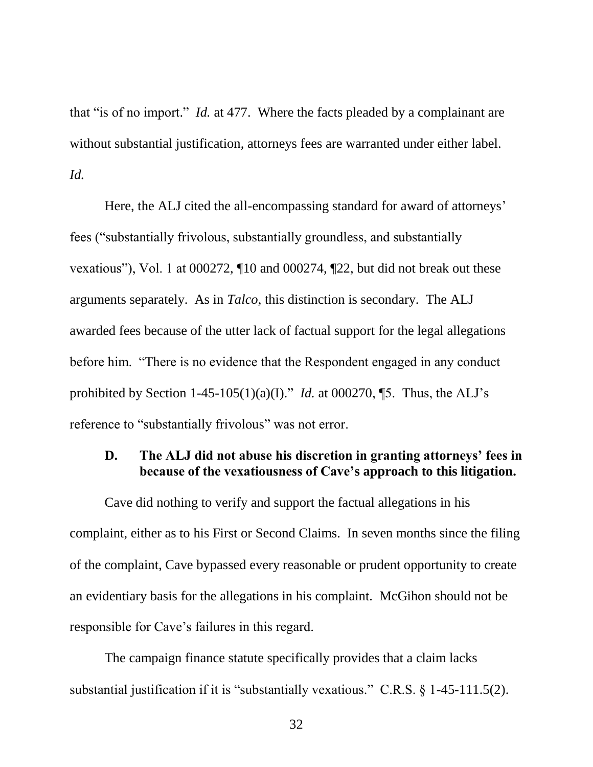that "is of no import." *Id.* at 477. Where the facts pleaded by a complainant are without substantial justification, attorneys fees are warranted under either label. *Id.*

Here, the ALJ cited the all-encompassing standard for award of attorneys' fees ("substantially frivolous, substantially groundless, and substantially vexatious"), Vol. 1 at 000272, ¶10 and 000274, ¶22, but did not break out these arguments separately. As in *Talco*, this distinction is secondary. The ALJ awarded fees because of the utter lack of factual support for the legal allegations before him. "There is no evidence that the Respondent engaged in any conduct prohibited by Section  $1-45-105(1)(a)(I)$ ." *Id.* at 000270, [5. Thus, the ALJ's reference to "substantially frivolous" was not error.

### **D. The ALJ did not abuse his discretion in granting attorneys' fees in because of the vexatiousness of Cave's approach to this litigation.**

Cave did nothing to verify and support the factual allegations in his complaint, either as to his First or Second Claims. In seven months since the filing of the complaint, Cave bypassed every reasonable or prudent opportunity to create an evidentiary basis for the allegations in his complaint. McGihon should not be responsible for Cave"s failures in this regard.

The campaign finance statute specifically provides that a claim lacks substantial justification if it is "substantially vexatious." C.R.S. § 1-45-111.5(2).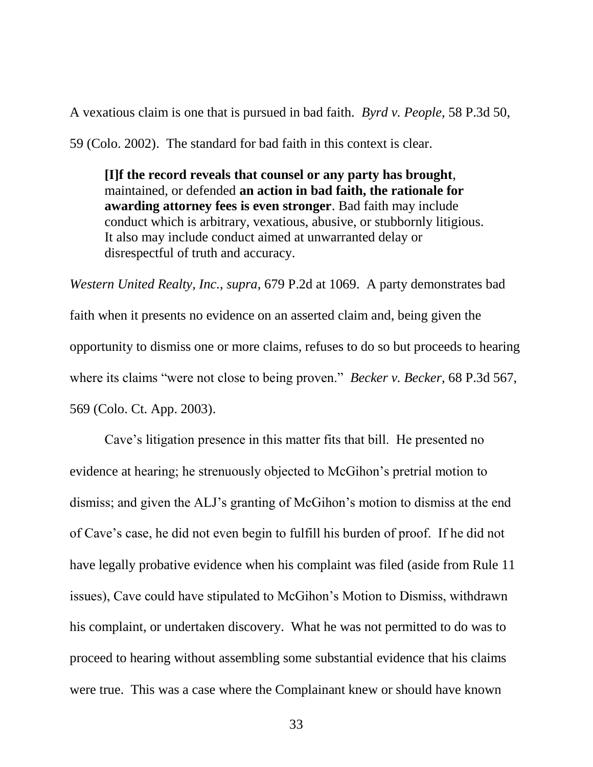A vexatious claim is one that is pursued in bad faith. *Byrd v. People*, 58 P.3d 50,

59 (Colo. 2002). The standard for bad faith in this context is clear.

**[I]f the record reveals that counsel or any party has brought**, maintained, or defended **an action in bad faith, the rationale for awarding attorney fees is even stronger**. Bad faith may include conduct which is arbitrary, vexatious, abusive, or stubbornly litigious. It also may include conduct aimed at unwarranted delay or disrespectful of truth and accuracy.

*Western United Realty, Inc., supra*, 679 P.2d at 1069. A party demonstrates bad faith when it presents no evidence on an asserted claim and, being given the opportunity to dismiss one or more claims, refuses to do so but proceeds to hearing where its claims "were not close to being proven." *Becker v. Becker*, 68 P.3d 567, 569 (Colo. Ct. App. 2003).

Cave"s litigation presence in this matter fits that bill. He presented no evidence at hearing; he strenuously objected to McGihon"s pretrial motion to dismiss; and given the ALJ"s granting of McGihon"s motion to dismiss at the end of Cave"s case, he did not even begin to fulfill his burden of proof. If he did not have legally probative evidence when his complaint was filed (aside from Rule 11 issues), Cave could have stipulated to McGihon"s Motion to Dismiss, withdrawn his complaint, or undertaken discovery. What he was not permitted to do was to proceed to hearing without assembling some substantial evidence that his claims were true. This was a case where the Complainant knew or should have known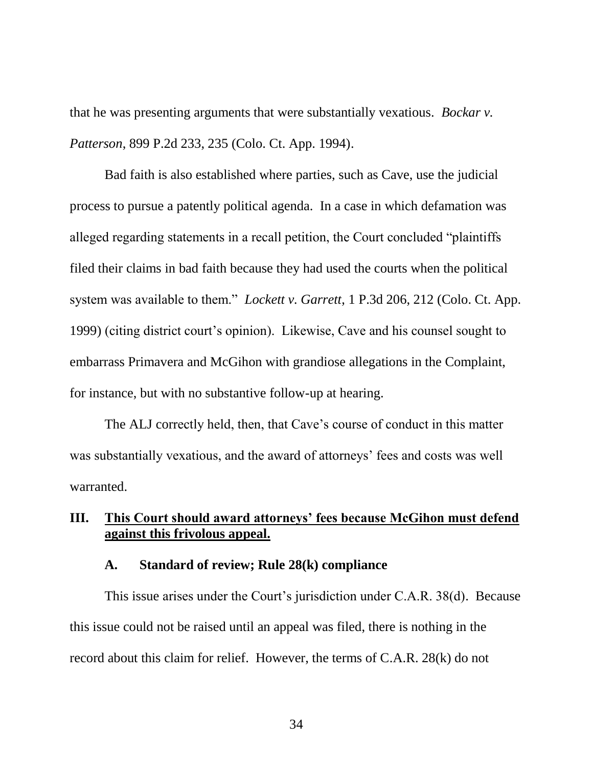that he was presenting arguments that were substantially vexatious. *Bockar v. Patterson*, 899 P.2d 233, 235 (Colo. Ct. App. 1994).

Bad faith is also established where parties, such as Cave, use the judicial process to pursue a patently political agenda. In a case in which defamation was alleged regarding statements in a recall petition, the Court concluded "plaintiffs filed their claims in bad faith because they had used the courts when the political system was available to them." *Lockett v. Garrett*, 1 P.3d 206, 212 (Colo. Ct. App. 1999) (citing district court"s opinion). Likewise, Cave and his counsel sought to embarrass Primavera and McGihon with grandiose allegations in the Complaint, for instance, but with no substantive follow-up at hearing.

The ALJ correctly held, then, that Cave"s course of conduct in this matter was substantially vexatious, and the award of attorneys' fees and costs was well warranted.

# **III. This Court should award attorneys' fees because McGihon must defend against this frivolous appeal.**

#### **A. Standard of review; Rule 28(k) compliance**

This issue arises under the Court's jurisdiction under C.A.R. 38(d). Because this issue could not be raised until an appeal was filed, there is nothing in the record about this claim for relief. However, the terms of C.A.R. 28(k) do not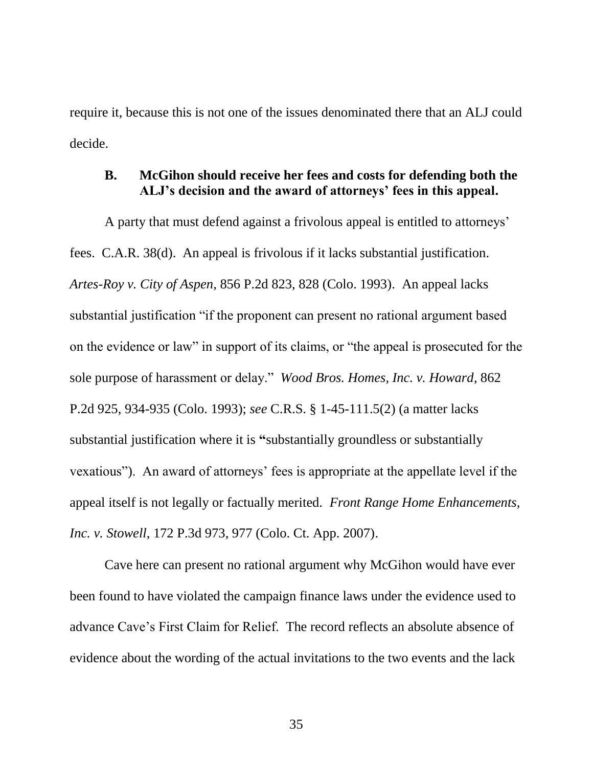require it, because this is not one of the issues denominated there that an ALJ could decide.

### **B. McGihon should receive her fees and costs for defending both the ALJ's decision and the award of attorneys' fees in this appeal.**

A party that must defend against a frivolous appeal is entitled to attorneys" fees. C.A.R. 38(d). An appeal is frivolous if it lacks substantial justification. *Artes-Roy v. City of Aspen*, 856 P.2d 823, 828 (Colo. 1993). An appeal lacks substantial justification "if the proponent can present no rational argument based on the evidence or law" in support of its claims, or "the appeal is prosecuted for the sole purpose of harassment or delay." *Wood Bros. Homes, Inc. v. Howard*, 862 P.2d 925, 934-935 (Colo. 1993); *see* C.R.S. § 1-45-111.5(2) (a matter lacks substantial justification where it is **"**substantially groundless or substantially vexatious"). An award of attorneys" fees is appropriate at the appellate level if the appeal itself is not legally or factually merited. *Front Range Home Enhancements, Inc. v. Stowell*, 172 P.3d 973, 977 (Colo. Ct. App. 2007).

Cave here can present no rational argument why McGihon would have ever been found to have violated the campaign finance laws under the evidence used to advance Cave"s First Claim for Relief. The record reflects an absolute absence of evidence about the wording of the actual invitations to the two events and the lack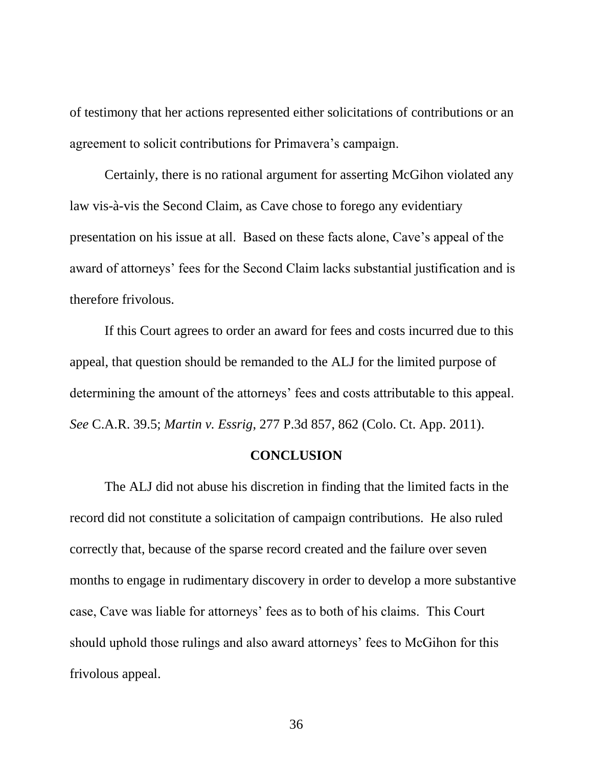of testimony that her actions represented either solicitations of contributions or an agreement to solicit contributions for Primavera"s campaign.

Certainly, there is no rational argument for asserting McGihon violated any law vis-à-vis the Second Claim, as Cave chose to forego any evidentiary presentation on his issue at all. Based on these facts alone, Cave"s appeal of the award of attorneys" fees for the Second Claim lacks substantial justification and is therefore frivolous.

If this Court agrees to order an award for fees and costs incurred due to this appeal, that question should be remanded to the ALJ for the limited purpose of determining the amount of the attorneys' fees and costs attributable to this appeal. *See* C.A.R. 39.5; *Martin v. Essrig*, 277 P.3d 857, 862 (Colo. Ct. App. 2011).

#### **CONCLUSION**

The ALJ did not abuse his discretion in finding that the limited facts in the record did not constitute a solicitation of campaign contributions. He also ruled correctly that, because of the sparse record created and the failure over seven months to engage in rudimentary discovery in order to develop a more substantive case, Cave was liable for attorneys" fees as to both of his claims. This Court should uphold those rulings and also award attorneys' fees to McGihon for this frivolous appeal.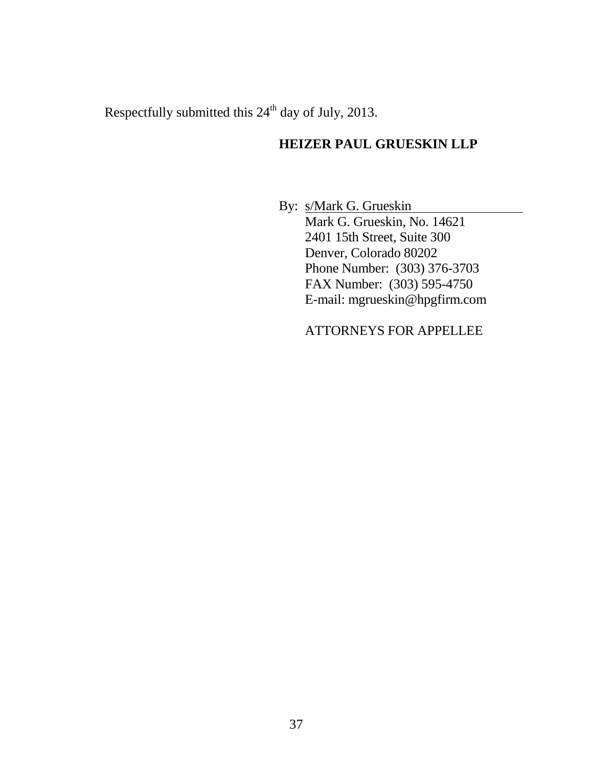Respectfully submitted this 24<sup>th</sup> day of July, 2013.

# **HEIZER PAUL GRUESKIN LLP**

By: s/Mark G. Grueskin Mark G. Grueskin, No. 14621 2401 15th Street, Suite 300 Denver, Colorado 80202 Phone Number: (303) 376-3703 FAX Number: (303) 595-4750 E-mail: mgrueskin@hpgfirm.com

ATTORNEYS FOR APPELLEE